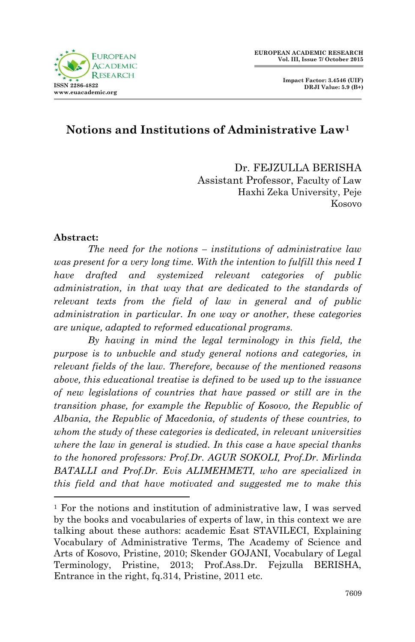



# **Notions and Institutions of Administrative Law<sup>1</sup>**

Dr. FEJZULLA BERISHA Assistant Professor, Faculty of Law Haxhi Zeka University, Peje Kosovo

#### **Abstract:**

-

*The need for the notions – institutions of administrative law was present for a very long time. With the intention to fulfill this need I have drafted and systemized relevant categories of public administration, in that way that are dedicated to the standards of relevant texts from the field of law in general and of public administration in particular. In one way or another, these categories are unique, adapted to reformed educational programs.*

*By having in mind the legal terminology in this field, the purpose is to unbuckle and study general notions and categories, in relevant fields of the law. Therefore, because of the mentioned reasons above, this educational treatise is defined to be used up to the issuance of new legislations of countries that have passed or still are in the transition phase, for example the Republic of Kosovo, the Republic of Albania, the Republic of Macedonia, of students of these countries, to whom the study of these categories is dedicated, in relevant universities where the law in general is studied. In this case a have special thanks to the honored professors: Prof.Dr. AGUR SOKOLI, Prof.Dr. Mirlinda BATALLI and Prof.Dr. Evis ALIMEHMETI, who are specialized in this field and that have motivated and suggested me to make this* 

 $1$  For the notions and institution of administrative law, I was served by the books and vocabularies of experts of law, in this context we are talking about these authors: academic Esat STAVILECI, Explaining Vocabulary of Administrative Terms, The Academy of Science and Arts of Kosovo, Pristine, 2010; Skender GOJANI, Vocabulary of Legal Terminology, Pristine, 2013; Prof.Ass.Dr. Fejzulla BERISHA, Entrance in the right, fq.314, Pristine, 2011 etc.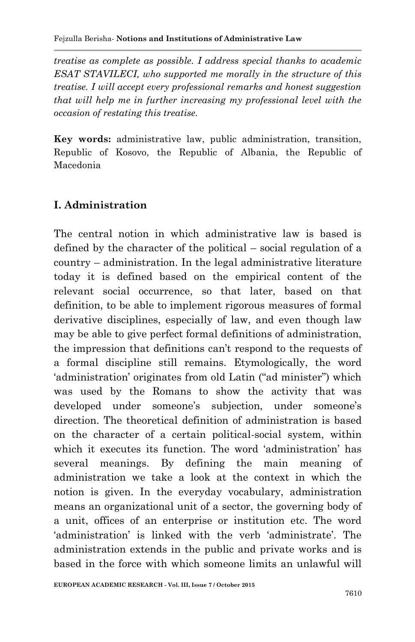*treatise as complete as possible. I address special thanks to academic ESAT STAVILECI, who supported me morally in the structure of this treatise. I will accept every professional remarks and honest suggestion that will help me in further increasing my professional level with the occasion of restating this treatise.*

**Key words:** administrative law, public administration, transition, Republic of Kosovo, the Republic of Albania, the Republic of Macedonia

# **I. Administration**

The central notion in which administrative law is based is defined by the character of the political – social regulation of a country – administration. In the legal administrative literature today it is defined based on the empirical content of the relevant social occurrence, so that later, based on that definition, to be able to implement rigorous measures of formal derivative disciplines, especially of law, and even though law may be able to give perfect formal definitions of administration, the impression that definitions can"t respond to the requests of a formal discipline still remains. Etymologically, the word 'administration' originates from old Latin ("ad minister") which was used by the Romans to show the activity that was developed under someone's subjection, under someone's direction. The theoretical definition of administration is based on the character of a certain political-social system, within which it executes its function. The word "administration" has several meanings. By defining the main meaning of administration we take a look at the context in which the notion is given. In the everyday vocabulary, administration means an organizational unit of a sector, the governing body of a unit, offices of an enterprise or institution etc. The word 'administration' is linked with the verb 'administrate'. The administration extends in the public and private works and is based in the force with which someone limits an unlawful will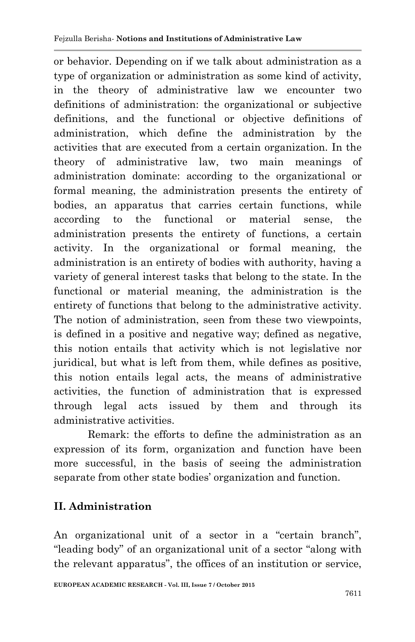or behavior. Depending on if we talk about administration as a type of organization or administration as some kind of activity, in the theory of administrative law we encounter two definitions of administration: the organizational or subjective definitions, and the functional or objective definitions of administration, which define the administration by the activities that are executed from a certain organization. In the theory of administrative law, two main meanings of administration dominate: according to the organizational or formal meaning, the administration presents the entirety of bodies, an apparatus that carries certain functions, while according to the functional or material sense, the administration presents the entirety of functions, a certain activity. In the organizational or formal meaning, the administration is an entirety of bodies with authority, having a variety of general interest tasks that belong to the state. In the functional or material meaning, the administration is the entirety of functions that belong to the administrative activity. The notion of administration, seen from these two viewpoints, is defined in a positive and negative way; defined as negative, this notion entails that activity which is not legislative nor juridical, but what is left from them, while defines as positive, this notion entails legal acts, the means of administrative activities, the function of administration that is expressed through legal acts issued by them and through its administrative activities.

Remark: the efforts to define the administration as an expression of its form, organization and function have been more successful, in the basis of seeing the administration separate from other state bodies' organization and function.

# **II. Administration**

An organizational unit of a sector in a "certain branch", "leading body" of an organizational unit of a sector "along with the relevant apparatus", the offices of an institution or service,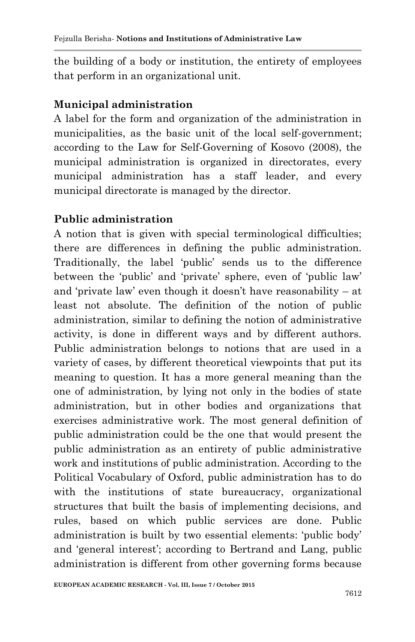the building of a body or institution, the entirety of employees that perform in an organizational unit.

#### **Municipal administration**

A label for the form and organization of the administration in municipalities, as the basic unit of the local self-government; according to the Law for Self-Governing of Kosovo (2008), the municipal administration is organized in directorates, every municipal administration has a staff leader, and every municipal directorate is managed by the director.

### **Public administration**

A notion that is given with special terminological difficulties; there are differences in defining the public administration. Traditionally, the label "public" sends us to the difference between the 'public' and 'private' sphere, even of 'public law' and "private law" even though it doesn"t have reasonability – at least not absolute. The definition of the notion of public administration, similar to defining the notion of administrative activity, is done in different ways and by different authors. Public administration belongs to notions that are used in a variety of cases, by different theoretical viewpoints that put its meaning to question. It has a more general meaning than the one of administration, by lying not only in the bodies of state administration, but in other bodies and organizations that exercises administrative work. The most general definition of public administration could be the one that would present the public administration as an entirety of public administrative work and institutions of public administration. According to the Political Vocabulary of Oxford, public administration has to do with the institutions of state bureaucracy, organizational structures that built the basis of implementing decisions, and rules, based on which public services are done. Public administration is built by two essential elements: "public body" and 'general interest'; according to Bertrand and Lang, public administration is different from other governing forms because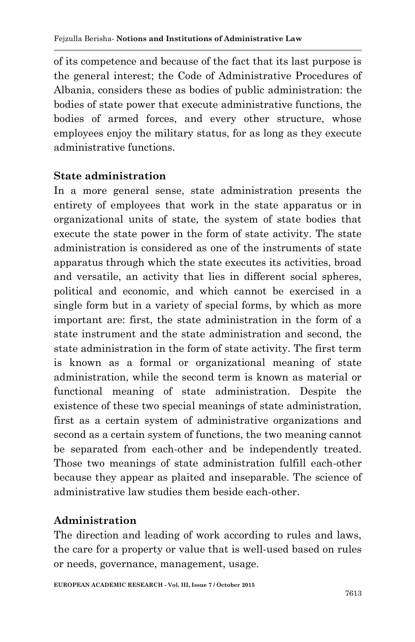of its competence and because of the fact that its last purpose is the general interest; the Code of Administrative Procedures of Albania, considers these as bodies of public administration: the bodies of state power that execute administrative functions, the bodies of armed forces, and every other structure, whose employees enjoy the military status, for as long as they execute administrative functions.

#### **State administration**

In a more general sense, state administration presents the entirety of employees that work in the state apparatus or in organizational units of state, the system of state bodies that execute the state power in the form of state activity. The state administration is considered as one of the instruments of state apparatus through which the state executes its activities, broad and versatile, an activity that lies in different social spheres, political and economic, and which cannot be exercised in a single form but in a variety of special forms, by which as more important are: first, the state administration in the form of a state instrument and the state administration and second, the state administration in the form of state activity. The first term is known as a formal or organizational meaning of state administration, while the second term is known as material or functional meaning of state administration. Despite the existence of these two special meanings of state administration, first as a certain system of administrative organizations and second as a certain system of functions, the two meaning cannot be separated from each-other and be independently treated. Those two meanings of state administration fulfill each-other because they appear as plaited and inseparable. The science of administrative law studies them beside each-other.

#### **Administration**

The direction and leading of work according to rules and laws, the care for a property or value that is well-used based on rules or needs, governance, management, usage.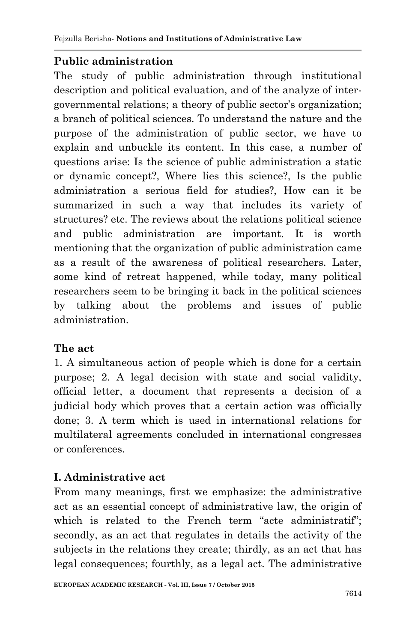# **Public administration**

The study of public administration through institutional description and political evaluation, and of the analyze of intergovernmental relations; a theory of public sector's organization; a branch of political sciences. To understand the nature and the purpose of the administration of public sector, we have to explain and unbuckle its content. In this case, a number of questions arise: Is the science of public administration a static or dynamic concept?, Where lies this science?, Is the public administration a serious field for studies?, How can it be summarized in such a way that includes its variety of structures? etc. The reviews about the relations political science and public administration are important. It is worth mentioning that the organization of public administration came as a result of the awareness of political researchers. Later, some kind of retreat happened, while today, many political researchers seem to be bringing it back in the political sciences by talking about the problems and issues of public administration.

# **The act**

1. A simultaneous action of people which is done for a certain purpose; 2. A legal decision with state and social validity, official letter, a document that represents a decision of a judicial body which proves that a certain action was officially done; 3. A term which is used in international relations for multilateral agreements concluded in international congresses or conferences.

# **I. Administrative act**

From many meanings, first we emphasize: the administrative act as an essential concept of administrative law, the origin of which is related to the French term "acte administratif"; secondly, as an act that regulates in details the activity of the subjects in the relations they create; thirdly, as an act that has legal consequences; fourthly, as a legal act. The administrative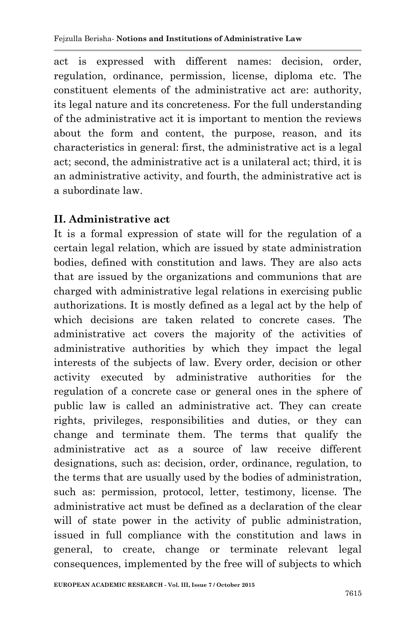act is expressed with different names: decision, order, regulation, ordinance, permission, license, diploma etc. The constituent elements of the administrative act are: authority, its legal nature and its concreteness. For the full understanding of the administrative act it is important to mention the reviews about the form and content, the purpose, reason, and its characteristics in general: first, the administrative act is a legal act; second, the administrative act is a unilateral act; third, it is an administrative activity, and fourth, the administrative act is a subordinate law.

#### **II. Administrative act**

It is a formal expression of state will for the regulation of a certain legal relation, which are issued by state administration bodies, defined with constitution and laws. They are also acts that are issued by the organizations and communions that are charged with administrative legal relations in exercising public authorizations. It is mostly defined as a legal act by the help of which decisions are taken related to concrete cases. The administrative act covers the majority of the activities of administrative authorities by which they impact the legal interests of the subjects of law. Every order, decision or other activity executed by administrative authorities for the regulation of a concrete case or general ones in the sphere of public law is called an administrative act. They can create rights, privileges, responsibilities and duties, or they can change and terminate them. The terms that qualify the administrative act as a source of law receive different designations, such as: decision, order, ordinance, regulation, to the terms that are usually used by the bodies of administration, such as: permission, protocol, letter, testimony, license. The administrative act must be defined as a declaration of the clear will of state power in the activity of public administration, issued in full compliance with the constitution and laws in general, to create, change or terminate relevant legal consequences, implemented by the free will of subjects to which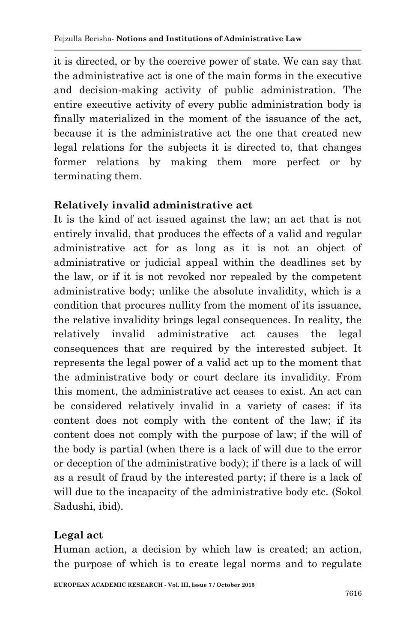it is directed, or by the coercive power of state. We can say that the administrative act is one of the main forms in the executive and decision-making activity of public administration. The entire executive activity of every public administration body is finally materialized in the moment of the issuance of the act, because it is the administrative act the one that created new legal relations for the subjects it is directed to, that changes former relations by making them more perfect or by terminating them.

### **Relatively invalid administrative act**

It is the kind of act issued against the law; an act that is not entirely invalid, that produces the effects of a valid and regular administrative act for as long as it is not an object of administrative or judicial appeal within the deadlines set by the law, or if it is not revoked nor repealed by the competent administrative body; unlike the absolute invalidity, which is a condition that procures nullity from the moment of its issuance, the relative invalidity brings legal consequences. In reality, the relatively invalid administrative act causes the legal consequences that are required by the interested subject. It represents the legal power of a valid act up to the moment that the administrative body or court declare its invalidity. From this moment, the administrative act ceases to exist. An act can be considered relatively invalid in a variety of cases: if its content does not comply with the content of the law; if its content does not comply with the purpose of law; if the will of the body is partial (when there is a lack of will due to the error or deception of the administrative body); if there is a lack of will as a result of fraud by the interested party; if there is a lack of will due to the incapacity of the administrative body etc. (Sokol Sadushi, ibid).

#### **Legal act**

Human action, a decision by which law is created; an action, the purpose of which is to create legal norms and to regulate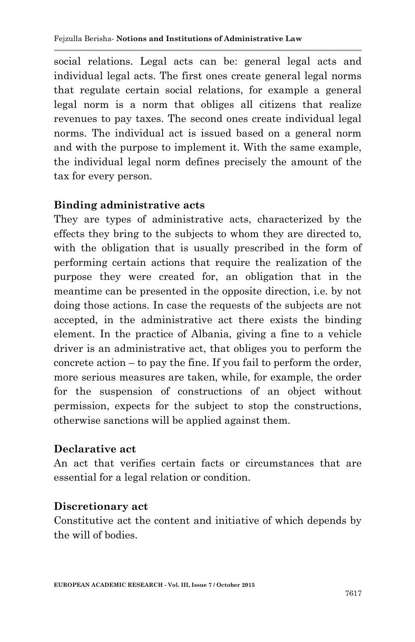social relations. Legal acts can be: general legal acts and individual legal acts. The first ones create general legal norms that regulate certain social relations, for example a general legal norm is a norm that obliges all citizens that realize revenues to pay taxes. The second ones create individual legal norms. The individual act is issued based on a general norm and with the purpose to implement it. With the same example, the individual legal norm defines precisely the amount of the tax for every person.

#### **Binding administrative acts**

They are types of administrative acts, characterized by the effects they bring to the subjects to whom they are directed to, with the obligation that is usually prescribed in the form of performing certain actions that require the realization of the purpose they were created for, an obligation that in the meantime can be presented in the opposite direction, i.e. by not doing those actions. In case the requests of the subjects are not accepted, in the administrative act there exists the binding element. In the practice of Albania, giving a fine to a vehicle driver is an administrative act, that obliges you to perform the concrete action – to pay the fine. If you fail to perform the order, more serious measures are taken, while, for example, the order for the suspension of constructions of an object without permission, expects for the subject to stop the constructions, otherwise sanctions will be applied against them.

#### **Declarative act**

An act that verifies certain facts or circumstances that are essential for a legal relation or condition.

#### **Discretionary act**

Constitutive act the content and initiative of which depends by the will of bodies.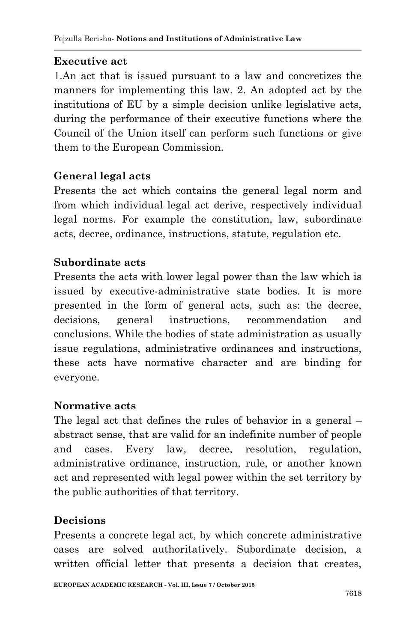# **Executive act**

1.An act that is issued pursuant to a law and concretizes the manners for implementing this law. 2. An adopted act by the institutions of EU by a simple decision unlike legislative acts, during the performance of their executive functions where the Council of the Union itself can perform such functions or give them to the European Commission.

# **General legal acts**

Presents the act which contains the general legal norm and from which individual legal act derive, respectively individual legal norms. For example the constitution, law, subordinate acts, decree, ordinance, instructions, statute, regulation etc.

# **Subordinate acts**

Presents the acts with lower legal power than the law which is issued by executive-administrative state bodies. It is more presented in the form of general acts, such as: the decree, decisions, general instructions, recommendation and conclusions. While the bodies of state administration as usually issue regulations, administrative ordinances and instructions, these acts have normative character and are binding for everyone.

# **Normative acts**

The legal act that defines the rules of behavior in a general – abstract sense, that are valid for an indefinite number of people and cases. Every law, decree, resolution, regulation, administrative ordinance, instruction, rule, or another known act and represented with legal power within the set territory by the public authorities of that territory.

# **Decisions**

Presents a concrete legal act, by which concrete administrative cases are solved authoritatively. Subordinate decision, a written official letter that presents a decision that creates,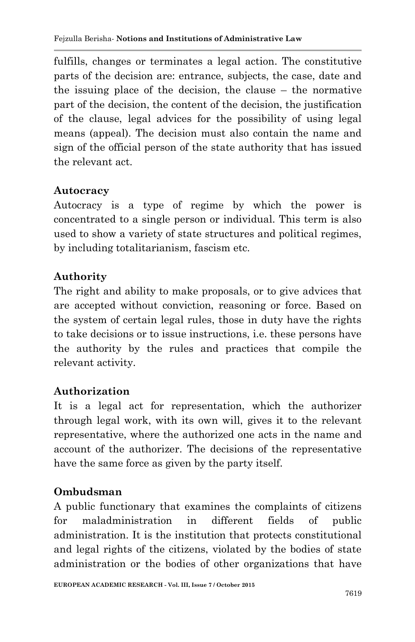fulfills, changes or terminates a legal action. The constitutive parts of the decision are: entrance, subjects, the case, date and the issuing place of the decision, the clause – the normative part of the decision, the content of the decision, the justification of the clause, legal advices for the possibility of using legal means (appeal). The decision must also contain the name and sign of the official person of the state authority that has issued the relevant act.

# **Autocracy**

Autocracy is a type of regime by which the power is concentrated to a single person or individual. This term is also used to show a variety of state structures and political regimes, by including totalitarianism, fascism etc.

# **Authority**

The right and ability to make proposals, or to give advices that are accepted without conviction, reasoning or force. Based on the system of certain legal rules, those in duty have the rights to take decisions or to issue instructions, i.e. these persons have the authority by the rules and practices that compile the relevant activity.

# **Authorization**

It is a legal act for representation, which the authorizer through legal work, with its own will, gives it to the relevant representative, where the authorized one acts in the name and account of the authorizer. The decisions of the representative have the same force as given by the party itself.

# **Ombudsman**

A public functionary that examines the complaints of citizens for maladministration in different fields of public administration. It is the institution that protects constitutional and legal rights of the citizens, violated by the bodies of state administration or the bodies of other organizations that have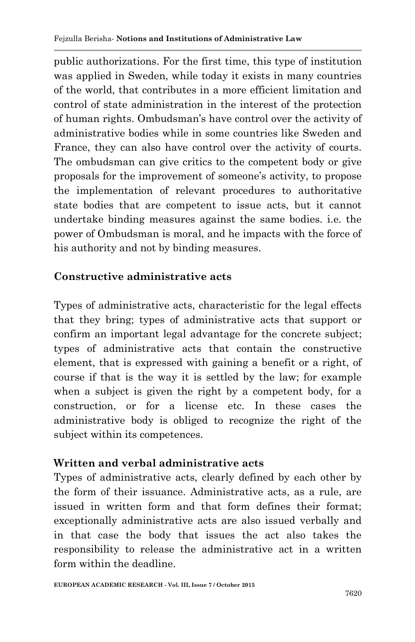public authorizations. For the first time, this type of institution was applied in Sweden, while today it exists in many countries of the world, that contributes in a more efficient limitation and control of state administration in the interest of the protection of human rights. Ombudsman"s have control over the activity of administrative bodies while in some countries like Sweden and France, they can also have control over the activity of courts. The ombudsman can give critics to the competent body or give proposals for the improvement of someone"s activity, to propose the implementation of relevant procedures to authoritative state bodies that are competent to issue acts, but it cannot undertake binding measures against the same bodies. i.e. the power of Ombudsman is moral, and he impacts with the force of his authority and not by binding measures.

### **Constructive administrative acts**

Types of administrative acts, characteristic for the legal effects that they bring; types of administrative acts that support or confirm an important legal advantage for the concrete subject; types of administrative acts that contain the constructive element, that is expressed with gaining a benefit or a right, of course if that is the way it is settled by the law; for example when a subject is given the right by a competent body, for a construction, or for a license etc. In these cases the administrative body is obliged to recognize the right of the subject within its competences.

#### **Written and verbal administrative acts**

Types of administrative acts, clearly defined by each other by the form of their issuance. Administrative acts, as a rule, are issued in written form and that form defines their format; exceptionally administrative acts are also issued verbally and in that case the body that issues the act also takes the responsibility to release the administrative act in a written form within the deadline.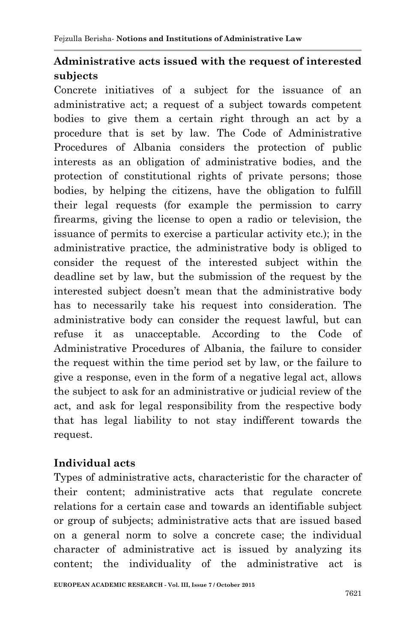# **Administrative acts issued with the request of interested subjects**

Concrete initiatives of a subject for the issuance of an administrative act; a request of a subject towards competent bodies to give them a certain right through an act by a procedure that is set by law. The Code of Administrative Procedures of Albania considers the protection of public interests as an obligation of administrative bodies, and the protection of constitutional rights of private persons; those bodies, by helping the citizens, have the obligation to fulfill their legal requests (for example the permission to carry firearms, giving the license to open a radio or television, the issuance of permits to exercise a particular activity etc.); in the administrative practice, the administrative body is obliged to consider the request of the interested subject within the deadline set by law, but the submission of the request by the interested subject doesn"t mean that the administrative body has to necessarily take his request into consideration. The administrative body can consider the request lawful, but can refuse it as unacceptable. According to the Code of Administrative Procedures of Albania, the failure to consider the request within the time period set by law, or the failure to give a response, even in the form of a negative legal act, allows the subject to ask for an administrative or judicial review of the act, and ask for legal responsibility from the respective body that has legal liability to not stay indifferent towards the request.

#### **Individual acts**

Types of administrative acts, characteristic for the character of their content; administrative acts that regulate concrete relations for a certain case and towards an identifiable subject or group of subjects; administrative acts that are issued based on a general norm to solve a concrete case; the individual character of administrative act is issued by analyzing its content; the individuality of the administrative act is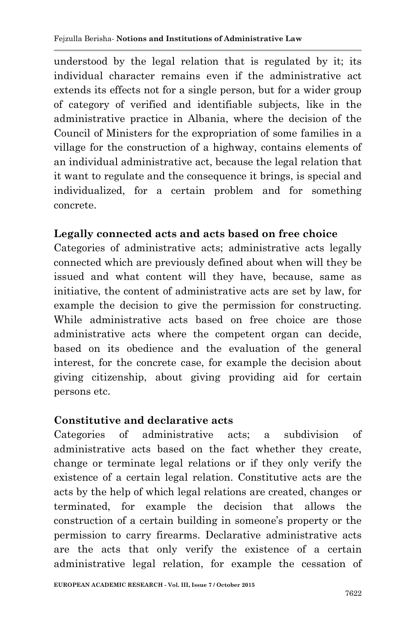understood by the legal relation that is regulated by it; its individual character remains even if the administrative act extends its effects not for a single person, but for a wider group of category of verified and identifiable subjects, like in the administrative practice in Albania, where the decision of the Council of Ministers for the expropriation of some families in a village for the construction of a highway, contains elements of an individual administrative act, because the legal relation that it want to regulate and the consequence it brings, is special and individualized, for a certain problem and for something concrete.

#### **Legally connected acts and acts based on free choice**

Categories of administrative acts; administrative acts legally connected which are previously defined about when will they be issued and what content will they have, because, same as initiative, the content of administrative acts are set by law, for example the decision to give the permission for constructing. While administrative acts based on free choice are those administrative acts where the competent organ can decide, based on its obedience and the evaluation of the general interest, for the concrete case, for example the decision about giving citizenship, about giving providing aid for certain persons etc.

#### **Constitutive and declarative acts**

Categories of administrative acts; a subdivision of administrative acts based on the fact whether they create, change or terminate legal relations or if they only verify the existence of a certain legal relation. Constitutive acts are the acts by the help of which legal relations are created, changes or terminated, for example the decision that allows the construction of a certain building in someone's property or the permission to carry firearms. Declarative administrative acts are the acts that only verify the existence of a certain administrative legal relation, for example the cessation of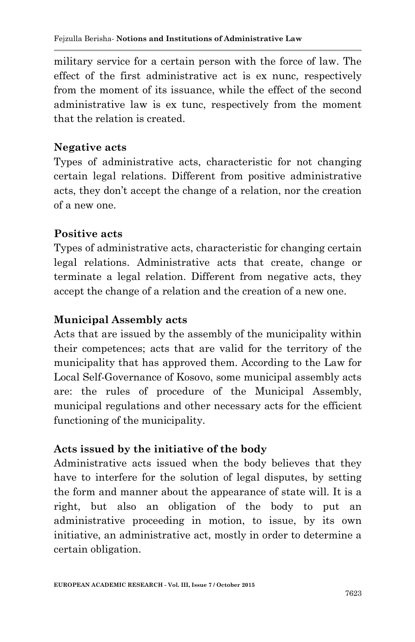military service for a certain person with the force of law. The effect of the first administrative act is ex nunc, respectively from the moment of its issuance, while the effect of the second administrative law is ex tunc, respectively from the moment that the relation is created.

#### **Negative acts**

Types of administrative acts, characteristic for not changing certain legal relations. Different from positive administrative acts, they don"t accept the change of a relation, nor the creation of a new one.

#### **Positive acts**

Types of administrative acts, characteristic for changing certain legal relations. Administrative acts that create, change or terminate a legal relation. Different from negative acts, they accept the change of a relation and the creation of a new one.

### **Municipal Assembly acts**

Acts that are issued by the assembly of the municipality within their competences; acts that are valid for the territory of the municipality that has approved them. According to the Law for Local Self-Governance of Kosovo, some municipal assembly acts are: the rules of procedure of the Municipal Assembly, municipal regulations and other necessary acts for the efficient functioning of the municipality.

# **Acts issued by the initiative of the body**

Administrative acts issued when the body believes that they have to interfere for the solution of legal disputes, by setting the form and manner about the appearance of state will. It is a right, but also an obligation of the body to put an administrative proceeding in motion, to issue, by its own initiative, an administrative act, mostly in order to determine a certain obligation.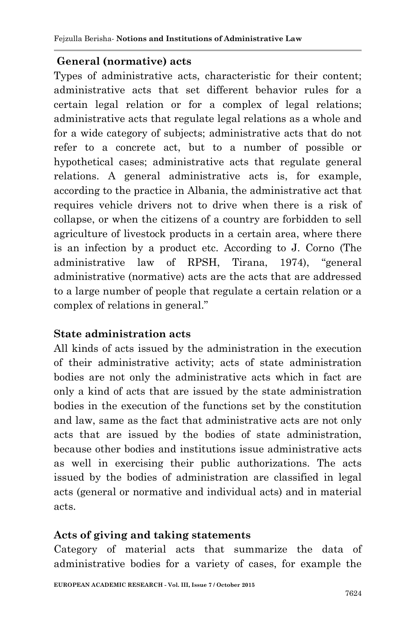### **General (normative) acts**

Types of administrative acts, characteristic for their content; administrative acts that set different behavior rules for a certain legal relation or for a complex of legal relations; administrative acts that regulate legal relations as a whole and for a wide category of subjects; administrative acts that do not refer to a concrete act, but to a number of possible or hypothetical cases; administrative acts that regulate general relations. A general administrative acts is, for example, according to the practice in Albania, the administrative act that requires vehicle drivers not to drive when there is a risk of collapse, or when the citizens of a country are forbidden to sell agriculture of livestock products in a certain area, where there is an infection by a product etc. According to J. Corno (The administrative law of RPSH, Tirana, 1974), "general administrative (normative) acts are the acts that are addressed to a large number of people that regulate a certain relation or a complex of relations in general."

#### **State administration acts**

All kinds of acts issued by the administration in the execution of their administrative activity; acts of state administration bodies are not only the administrative acts which in fact are only a kind of acts that are issued by the state administration bodies in the execution of the functions set by the constitution and law, same as the fact that administrative acts are not only acts that are issued by the bodies of state administration, because other bodies and institutions issue administrative acts as well in exercising their public authorizations. The acts issued by the bodies of administration are classified in legal acts (general or normative and individual acts) and in material acts.

#### **Acts of giving and taking statements**

Category of material acts that summarize the data of administrative bodies for a variety of cases, for example the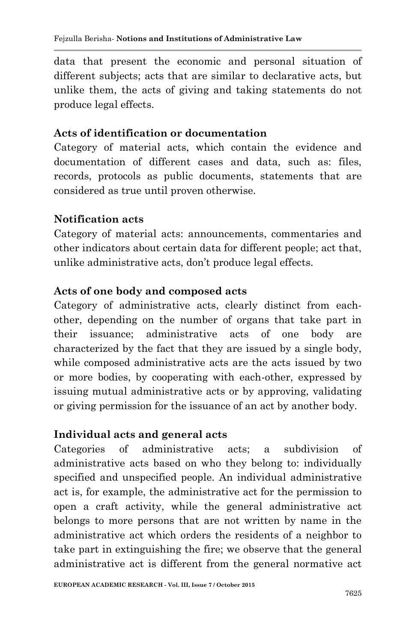data that present the economic and personal situation of different subjects; acts that are similar to declarative acts, but unlike them, the acts of giving and taking statements do not produce legal effects.

#### **Acts of identification or documentation**

Category of material acts, which contain the evidence and documentation of different cases and data, such as: files, records, protocols as public documents, statements that are considered as true until proven otherwise.

#### **Notification acts**

Category of material acts: announcements, commentaries and other indicators about certain data for different people; act that, unlike administrative acts, don"t produce legal effects.

#### **Acts of one body and composed acts**

Category of administrative acts, clearly distinct from eachother, depending on the number of organs that take part in their issuance; administrative acts of one body are characterized by the fact that they are issued by a single body, while composed administrative acts are the acts issued by two or more bodies, by cooperating with each-other, expressed by issuing mutual administrative acts or by approving, validating or giving permission for the issuance of an act by another body.

#### **Individual acts and general acts**

Categories of administrative acts; a subdivision of administrative acts based on who they belong to: individually specified and unspecified people. An individual administrative act is, for example, the administrative act for the permission to open a craft activity, while the general administrative act belongs to more persons that are not written by name in the administrative act which orders the residents of a neighbor to take part in extinguishing the fire; we observe that the general administrative act is different from the general normative act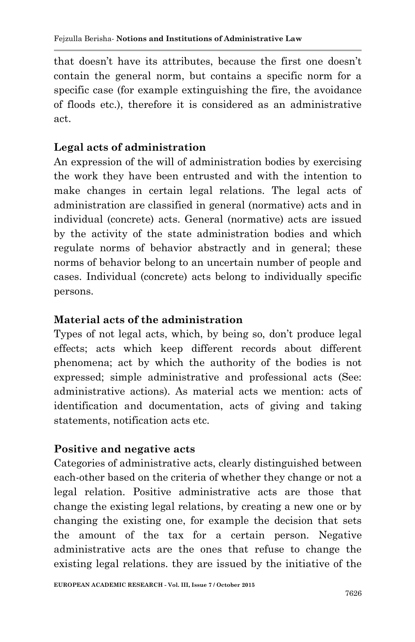that doesn"t have its attributes, because the first one doesn"t contain the general norm, but contains a specific norm for a specific case (for example extinguishing the fire, the avoidance of floods etc.), therefore it is considered as an administrative act.

#### **Legal acts of administration**

An expression of the will of administration bodies by exercising the work they have been entrusted and with the intention to make changes in certain legal relations. The legal acts of administration are classified in general (normative) acts and in individual (concrete) acts. General (normative) acts are issued by the activity of the state administration bodies and which regulate norms of behavior abstractly and in general; these norms of behavior belong to an uncertain number of people and cases. Individual (concrete) acts belong to individually specific persons.

#### **Material acts of the administration**

Types of not legal acts, which, by being so, don't produce legal effects; acts which keep different records about different phenomena; act by which the authority of the bodies is not expressed; simple administrative and professional acts (See: administrative actions). As material acts we mention: acts of identification and documentation, acts of giving and taking statements, notification acts etc.

# **Positive and negative acts**

Categories of administrative acts, clearly distinguished between each-other based on the criteria of whether they change or not a legal relation. Positive administrative acts are those that change the existing legal relations, by creating a new one or by changing the existing one, for example the decision that sets the amount of the tax for a certain person. Negative administrative acts are the ones that refuse to change the existing legal relations. they are issued by the initiative of the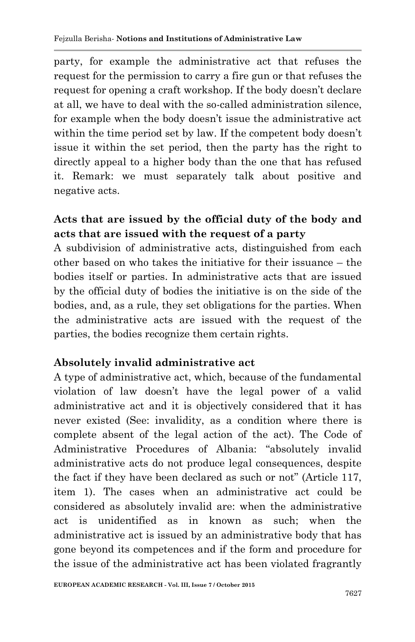party, for example the administrative act that refuses the request for the permission to carry a fire gun or that refuses the request for opening a craft workshop. If the body doesn't declare at all, we have to deal with the so-called administration silence, for example when the body doesn't issue the administrative act within the time period set by law. If the competent body doesn"t issue it within the set period, then the party has the right to directly appeal to a higher body than the one that has refused it. Remark: we must separately talk about positive and negative acts.

# **Acts that are issued by the official duty of the body and acts that are issued with the request of a party**

A subdivision of administrative acts, distinguished from each other based on who takes the initiative for their issuance – the bodies itself or parties. In administrative acts that are issued by the official duty of bodies the initiative is on the side of the bodies, and, as a rule, they set obligations for the parties. When the administrative acts are issued with the request of the parties, the bodies recognize them certain rights.

#### **Absolutely invalid administrative act**

A type of administrative act, which, because of the fundamental violation of law doesn"t have the legal power of a valid administrative act and it is objectively considered that it has never existed (See: invalidity, as a condition where there is complete absent of the legal action of the act). The Code of Administrative Procedures of Albania: "absolutely invalid administrative acts do not produce legal consequences, despite the fact if they have been declared as such or not" (Article 117, item 1). The cases when an administrative act could be considered as absolutely invalid are: when the administrative act is unidentified as in known as such; when the administrative act is issued by an administrative body that has gone beyond its competences and if the form and procedure for the issue of the administrative act has been violated fragrantly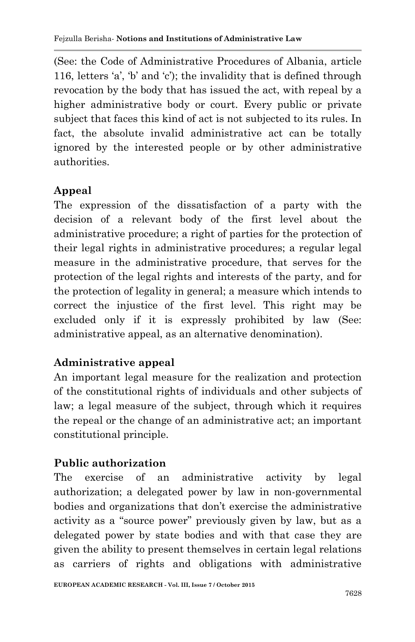(See: the Code of Administrative Procedures of Albania, article 116, letters  $a'$ ,  $b'$  and  $c'$ ; the invalidity that is defined through revocation by the body that has issued the act, with repeal by a higher administrative body or court. Every public or private subject that faces this kind of act is not subjected to its rules. In fact, the absolute invalid administrative act can be totally ignored by the interested people or by other administrative authorities.

# **Appeal**

The expression of the dissatisfaction of a party with the decision of a relevant body of the first level about the administrative procedure; a right of parties for the protection of their legal rights in administrative procedures; a regular legal measure in the administrative procedure, that serves for the protection of the legal rights and interests of the party, and for the protection of legality in general; a measure which intends to correct the injustice of the first level. This right may be excluded only if it is expressly prohibited by law (See: administrative appeal, as an alternative denomination).

# **Administrative appeal**

An important legal measure for the realization and protection of the constitutional rights of individuals and other subjects of law; a legal measure of the subject, through which it requires the repeal or the change of an administrative act; an important constitutional principle.

# **Public authorization**

The exercise of an administrative activity by legal authorization; a delegated power by law in non-governmental bodies and organizations that don't exercise the administrative activity as a "source power" previously given by law, but as a delegated power by state bodies and with that case they are given the ability to present themselves in certain legal relations as carriers of rights and obligations with administrative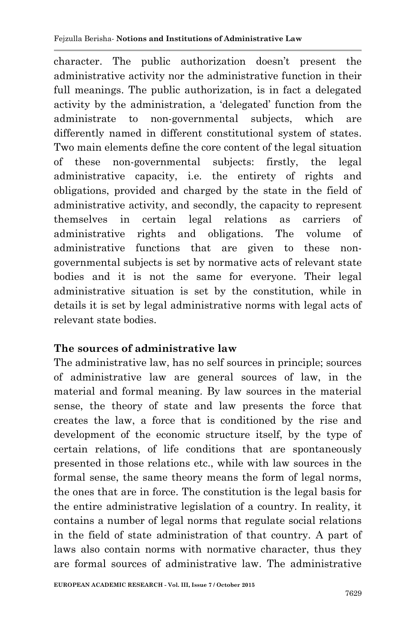character. The public authorization doesn"t present the administrative activity nor the administrative function in their full meanings. The public authorization, is in fact a delegated activity by the administration, a "delegated" function from the administrate to non-governmental subjects, which are differently named in different constitutional system of states. Two main elements define the core content of the legal situation of these non-governmental subjects: firstly, the legal administrative capacity, i.e. the entirety of rights and obligations, provided and charged by the state in the field of administrative activity, and secondly, the capacity to represent themselves in certain legal relations as carriers of administrative rights and obligations. The volume of administrative functions that are given to these nongovernmental subjects is set by normative acts of relevant state bodies and it is not the same for everyone. Their legal administrative situation is set by the constitution, while in details it is set by legal administrative norms with legal acts of relevant state bodies.

#### **The sources of administrative law**

The administrative law, has no self sources in principle; sources of administrative law are general sources of law, in the material and formal meaning. By law sources in the material sense, the theory of state and law presents the force that creates the law, a force that is conditioned by the rise and development of the economic structure itself, by the type of certain relations, of life conditions that are spontaneously presented in those relations etc., while with law sources in the formal sense, the same theory means the form of legal norms, the ones that are in force. The constitution is the legal basis for the entire administrative legislation of a country. In reality, it contains a number of legal norms that regulate social relations in the field of state administration of that country. A part of laws also contain norms with normative character, thus they are formal sources of administrative law. The administrative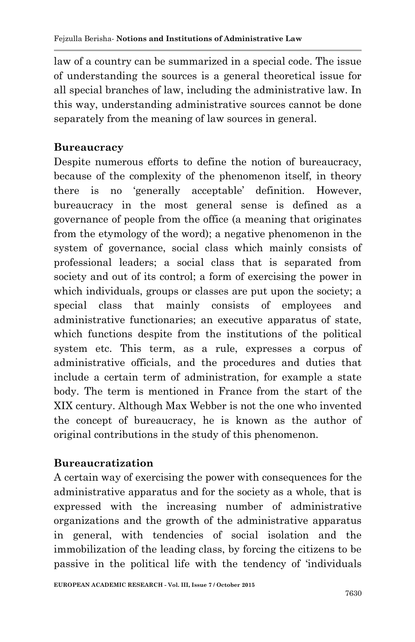law of a country can be summarized in a special code. The issue of understanding the sources is a general theoretical issue for all special branches of law, including the administrative law. In this way, understanding administrative sources cannot be done separately from the meaning of law sources in general.

### **Bureaucracy**

Despite numerous efforts to define the notion of bureaucracy, because of the complexity of the phenomenon itself, in theory there is no "generally acceptable" definition. However, bureaucracy in the most general sense is defined as a governance of people from the office (a meaning that originates from the etymology of the word); a negative phenomenon in the system of governance, social class which mainly consists of professional leaders; a social class that is separated from society and out of its control; a form of exercising the power in which individuals, groups or classes are put upon the society; a special class that mainly consists of employees and administrative functionaries; an executive apparatus of state, which functions despite from the institutions of the political system etc. This term, as a rule, expresses a corpus of administrative officials, and the procedures and duties that include a certain term of administration, for example a state body. The term is mentioned in France from the start of the XIX century. Although Max Webber is not the one who invented the concept of bureaucracy, he is known as the author of original contributions in the study of this phenomenon.

# **Bureaucratization**

A certain way of exercising the power with consequences for the administrative apparatus and for the society as a whole, that is expressed with the increasing number of administrative organizations and the growth of the administrative apparatus in general, with tendencies of social isolation and the immobilization of the leading class, by forcing the citizens to be passive in the political life with the tendency of "individuals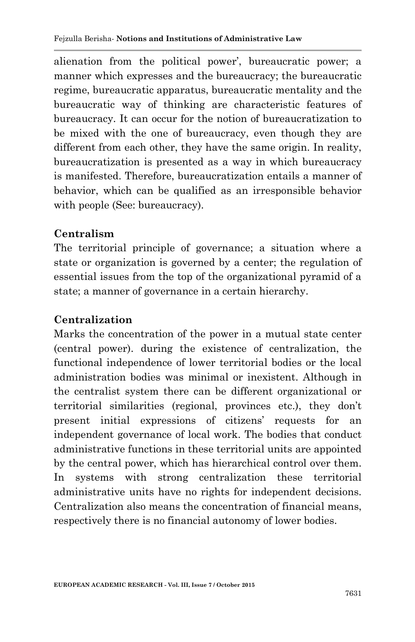alienation from the political power', bureaucratic power; a manner which expresses and the bureaucracy; the bureaucratic regime, bureaucratic apparatus, bureaucratic mentality and the bureaucratic way of thinking are characteristic features of bureaucracy. It can occur for the notion of bureaucratization to be mixed with the one of bureaucracy, even though they are different from each other, they have the same origin. In reality, bureaucratization is presented as a way in which bureaucracy is manifested. Therefore, bureaucratization entails a manner of behavior, which can be qualified as an irresponsible behavior with people (See: bureaucracy).

### **Centralism**

The territorial principle of governance; a situation where a state or organization is governed by a center; the regulation of essential issues from the top of the organizational pyramid of a state; a manner of governance in a certain hierarchy.

### **Centralization**

Marks the concentration of the power in a mutual state center (central power). during the existence of centralization, the functional independence of lower territorial bodies or the local administration bodies was minimal or inexistent. Although in the centralist system there can be different organizational or territorial similarities (regional, provinces etc.), they don"t present initial expressions of citizens" requests for an independent governance of local work. The bodies that conduct administrative functions in these territorial units are appointed by the central power, which has hierarchical control over them. In systems with strong centralization these territorial administrative units have no rights for independent decisions. Centralization also means the concentration of financial means, respectively there is no financial autonomy of lower bodies.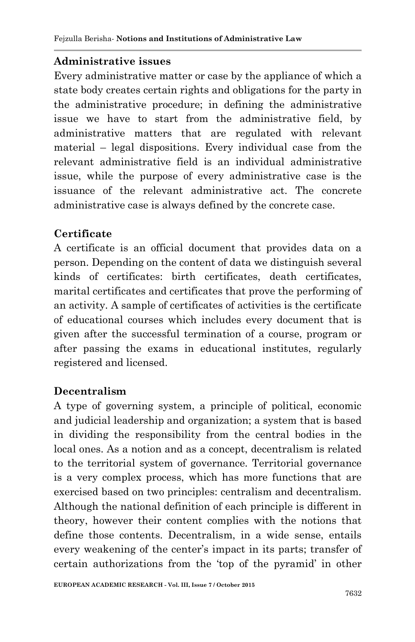# **Administrative issues**

Every administrative matter or case by the appliance of which a state body creates certain rights and obligations for the party in the administrative procedure; in defining the administrative issue we have to start from the administrative field, by administrative matters that are regulated with relevant material – legal dispositions. Every individual case from the relevant administrative field is an individual administrative issue, while the purpose of every administrative case is the issuance of the relevant administrative act. The concrete administrative case is always defined by the concrete case.

# **Certificate**

A certificate is an official document that provides data on a person. Depending on the content of data we distinguish several kinds of certificates: birth certificates, death certificates, marital certificates and certificates that prove the performing of an activity. A sample of certificates of activities is the certificate of educational courses which includes every document that is given after the successful termination of a course, program or after passing the exams in educational institutes, regularly registered and licensed.

# **Decentralism**

A type of governing system, a principle of political, economic and judicial leadership and organization; a system that is based in dividing the responsibility from the central bodies in the local ones. As a notion and as a concept, decentralism is related to the territorial system of governance. Territorial governance is a very complex process, which has more functions that are exercised based on two principles: centralism and decentralism. Although the national definition of each principle is different in theory, however their content complies with the notions that define those contents. Decentralism, in a wide sense, entails every weakening of the center"s impact in its parts; transfer of certain authorizations from the "top of the pyramid" in other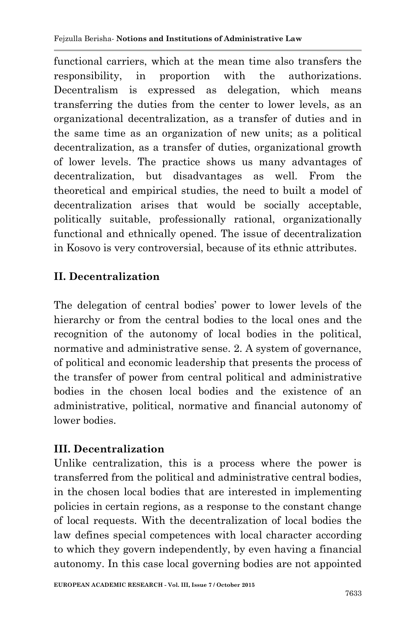functional carriers, which at the mean time also transfers the responsibility, in proportion with the authorizations. Decentralism is expressed as delegation, which means transferring the duties from the center to lower levels, as an organizational decentralization, as a transfer of duties and in the same time as an organization of new units; as a political decentralization, as a transfer of duties, organizational growth of lower levels. The practice shows us many advantages of decentralization, but disadvantages as well. From the theoretical and empirical studies, the need to built a model of decentralization arises that would be socially acceptable, politically suitable, professionally rational, organizationally functional and ethnically opened. The issue of decentralization in Kosovo is very controversial, because of its ethnic attributes.

# **II. Decentralization**

The delegation of central bodies" power to lower levels of the hierarchy or from the central bodies to the local ones and the recognition of the autonomy of local bodies in the political, normative and administrative sense. 2. A system of governance, of political and economic leadership that presents the process of the transfer of power from central political and administrative bodies in the chosen local bodies and the existence of an administrative, political, normative and financial autonomy of lower bodies.

# **III. Decentralization**

Unlike centralization, this is a process where the power is transferred from the political and administrative central bodies, in the chosen local bodies that are interested in implementing policies in certain regions, as a response to the constant change of local requests. With the decentralization of local bodies the law defines special competences with local character according to which they govern independently, by even having a financial autonomy. In this case local governing bodies are not appointed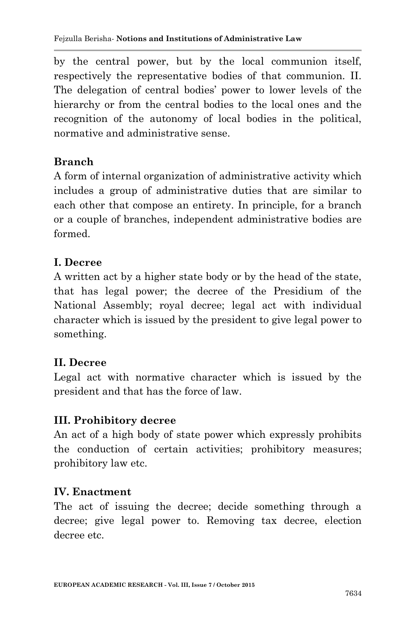by the central power, but by the local communion itself, respectively the representative bodies of that communion. II. The delegation of central bodies' power to lower levels of the hierarchy or from the central bodies to the local ones and the recognition of the autonomy of local bodies in the political, normative and administrative sense.

# **Branch**

A form of internal organization of administrative activity which includes a group of administrative duties that are similar to each other that compose an entirety. In principle, for a branch or a couple of branches, independent administrative bodies are formed.

# **I. Decree**

A written act by a higher state body or by the head of the state, that has legal power; the decree of the Presidium of the National Assembly; royal decree; legal act with individual character which is issued by the president to give legal power to something.

# **II. Decree**

Legal act with normative character which is issued by the president and that has the force of law.

# **III. Prohibitory decree**

An act of a high body of state power which expressly prohibits the conduction of certain activities; prohibitory measures; prohibitory law etc.

# **IV. Enactment**

The act of issuing the decree; decide something through a decree; give legal power to. Removing tax decree, election decree etc.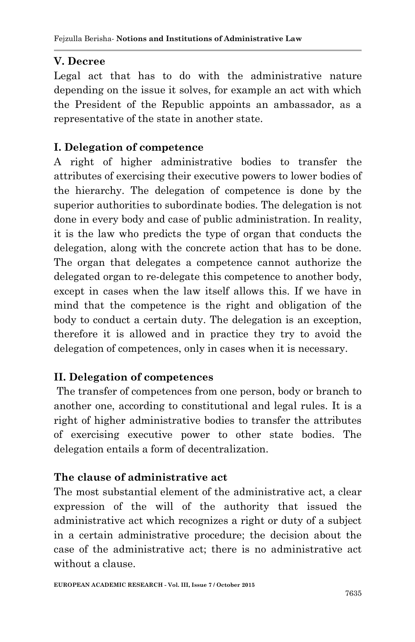# **V. Decree**

Legal act that has to do with the administrative nature depending on the issue it solves, for example an act with which the President of the Republic appoints an ambassador, as a representative of the state in another state.

# **I. Delegation of competence**

A right of higher administrative bodies to transfer the attributes of exercising their executive powers to lower bodies of the hierarchy. The delegation of competence is done by the superior authorities to subordinate bodies. The delegation is not done in every body and case of public administration. In reality, it is the law who predicts the type of organ that conducts the delegation, along with the concrete action that has to be done. The organ that delegates a competence cannot authorize the delegated organ to re-delegate this competence to another body, except in cases when the law itself allows this. If we have in mind that the competence is the right and obligation of the body to conduct a certain duty. The delegation is an exception, therefore it is allowed and in practice they try to avoid the delegation of competences, only in cases when it is necessary.

# **II. Delegation of competences**

The transfer of competences from one person, body or branch to another one, according to constitutional and legal rules. It is a right of higher administrative bodies to transfer the attributes of exercising executive power to other state bodies. The delegation entails a form of decentralization.

# **The clause of administrative act**

The most substantial element of the administrative act, a clear expression of the will of the authority that issued the administrative act which recognizes a right or duty of a subject in a certain administrative procedure; the decision about the case of the administrative act; there is no administrative act without a clause.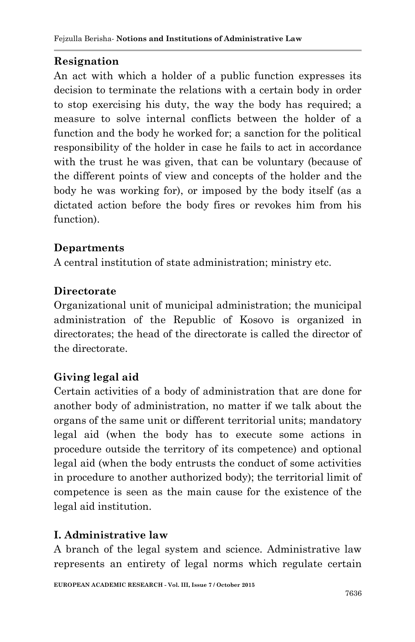# **Resignation**

An act with which a holder of a public function expresses its decision to terminate the relations with a certain body in order to stop exercising his duty, the way the body has required; a measure to solve internal conflicts between the holder of a function and the body he worked for; a sanction for the political responsibility of the holder in case he fails to act in accordance with the trust he was given, that can be voluntary (because of the different points of view and concepts of the holder and the body he was working for), or imposed by the body itself (as a dictated action before the body fires or revokes him from his function).

# **Departments**

A central institution of state administration; ministry etc.

# **Directorate**

Organizational unit of municipal administration; the municipal administration of the Republic of Kosovo is organized in directorates; the head of the directorate is called the director of the directorate.

# **Giving legal aid**

Certain activities of a body of administration that are done for another body of administration, no matter if we talk about the organs of the same unit or different territorial units; mandatory legal aid (when the body has to execute some actions in procedure outside the territory of its competence) and optional legal aid (when the body entrusts the conduct of some activities in procedure to another authorized body); the territorial limit of competence is seen as the main cause for the existence of the legal aid institution.

# **I. Administrative law**

A branch of the legal system and science. Administrative law represents an entirety of legal norms which regulate certain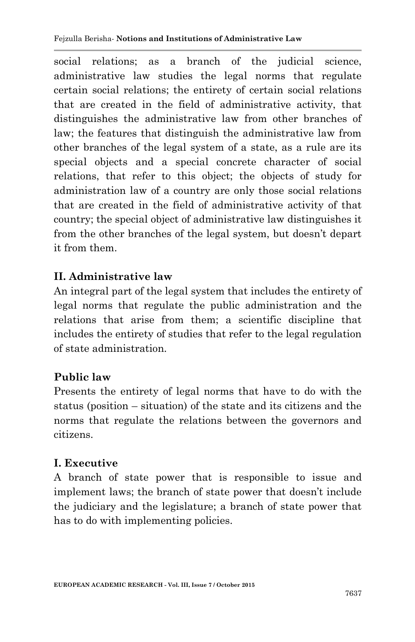social relations; as a branch of the judicial science, administrative law studies the legal norms that regulate certain social relations; the entirety of certain social relations that are created in the field of administrative activity, that distinguishes the administrative law from other branches of law; the features that distinguish the administrative law from other branches of the legal system of a state, as a rule are its special objects and a special concrete character of social relations, that refer to this object; the objects of study for administration law of a country are only those social relations that are created in the field of administrative activity of that country; the special object of administrative law distinguishes it from the other branches of the legal system, but doesn"t depart it from them.

# **II. Administrative law**

An integral part of the legal system that includes the entirety of legal norms that regulate the public administration and the relations that arise from them; a scientific discipline that includes the entirety of studies that refer to the legal regulation of state administration.

# **Public law**

Presents the entirety of legal norms that have to do with the status (position – situation) of the state and its citizens and the norms that regulate the relations between the governors and citizens.

# **I. Executive**

A branch of state power that is responsible to issue and implement laws; the branch of state power that doesn"t include the judiciary and the legislature; a branch of state power that has to do with implementing policies.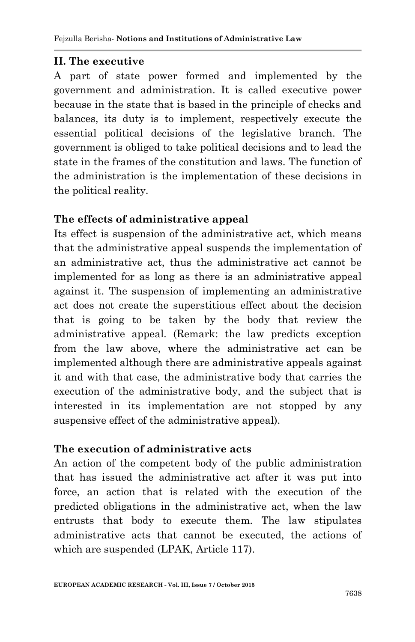#### **II. The executive**

A part of state power formed and implemented by the government and administration. It is called executive power because in the state that is based in the principle of checks and balances, its duty is to implement, respectively execute the essential political decisions of the legislative branch. The government is obliged to take political decisions and to lead the state in the frames of the constitution and laws. The function of the administration is the implementation of these decisions in the political reality.

#### **The effects of administrative appeal**

Its effect is suspension of the administrative act, which means that the administrative appeal suspends the implementation of an administrative act, thus the administrative act cannot be implemented for as long as there is an administrative appeal against it. The suspension of implementing an administrative act does not create the superstitious effect about the decision that is going to be taken by the body that review the administrative appeal. (Remark: the law predicts exception from the law above, where the administrative act can be implemented although there are administrative appeals against it and with that case, the administrative body that carries the execution of the administrative body, and the subject that is interested in its implementation are not stopped by any suspensive effect of the administrative appeal).

#### **The execution of administrative acts**

An action of the competent body of the public administration that has issued the administrative act after it was put into force, an action that is related with the execution of the predicted obligations in the administrative act, when the law entrusts that body to execute them. The law stipulates administrative acts that cannot be executed, the actions of which are suspended (LPAK, Article 117).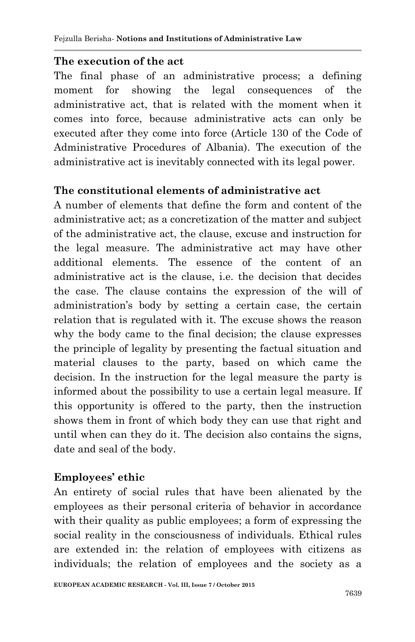### **The execution of the act**

The final phase of an administrative process; a defining moment for showing the legal consequences of the administrative act, that is related with the moment when it comes into force, because administrative acts can only be executed after they come into force (Article 130 of the Code of Administrative Procedures of Albania). The execution of the administrative act is inevitably connected with its legal power.

# **The constitutional elements of administrative act**

A number of elements that define the form and content of the administrative act; as a concretization of the matter and subject of the administrative act, the clause, excuse and instruction for the legal measure. The administrative act may have other additional elements. The essence of the content of an administrative act is the clause, i.e. the decision that decides the case. The clause contains the expression of the will of administration"s body by setting a certain case, the certain relation that is regulated with it. The excuse shows the reason why the body came to the final decision; the clause expresses the principle of legality by presenting the factual situation and material clauses to the party, based on which came the decision. In the instruction for the legal measure the party is informed about the possibility to use a certain legal measure. If this opportunity is offered to the party, then the instruction shows them in front of which body they can use that right and until when can they do it. The decision also contains the signs, date and seal of the body.

# **Employees' ethic**

An entirety of social rules that have been alienated by the employees as their personal criteria of behavior in accordance with their quality as public employees; a form of expressing the social reality in the consciousness of individuals. Ethical rules are extended in: the relation of employees with citizens as individuals; the relation of employees and the society as a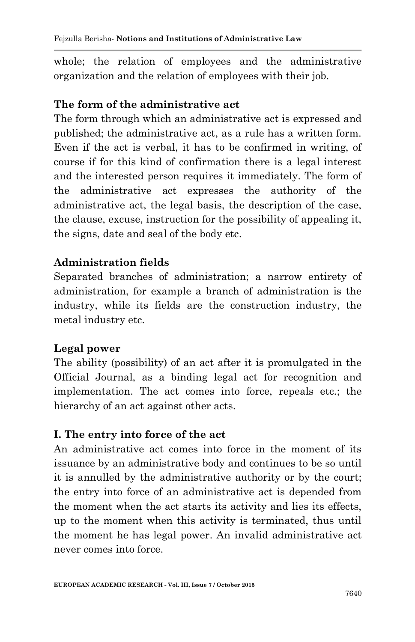whole; the relation of employees and the administrative organization and the relation of employees with their job.

#### **The form of the administrative act**

The form through which an administrative act is expressed and published; the administrative act, as a rule has a written form. Even if the act is verbal, it has to be confirmed in writing, of course if for this kind of confirmation there is a legal interest and the interested person requires it immediately. The form of the administrative act expresses the authority of the administrative act, the legal basis, the description of the case, the clause, excuse, instruction for the possibility of appealing it, the signs, date and seal of the body etc.

#### **Administration fields**

Separated branches of administration; a narrow entirety of administration, for example a branch of administration is the industry, while its fields are the construction industry, the metal industry etc.

#### **Legal power**

The ability (possibility) of an act after it is promulgated in the Official Journal, as a binding legal act for recognition and implementation. The act comes into force, repeals etc.; the hierarchy of an act against other acts.

#### **I. The entry into force of the act**

An administrative act comes into force in the moment of its issuance by an administrative body and continues to be so until it is annulled by the administrative authority or by the court; the entry into force of an administrative act is depended from the moment when the act starts its activity and lies its effects, up to the moment when this activity is terminated, thus until the moment he has legal power. An invalid administrative act never comes into force.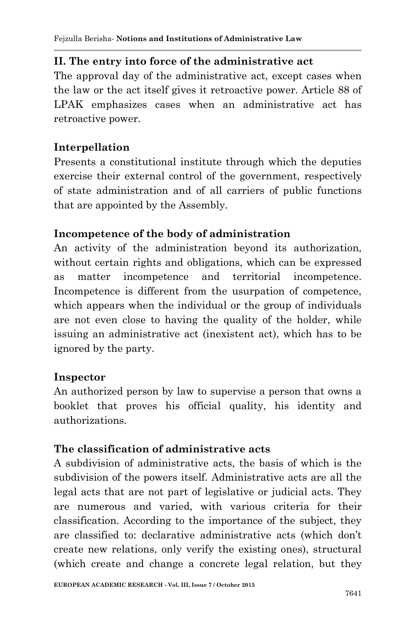### **II. The entry into force of the administrative act**

The approval day of the administrative act, except cases when the law or the act itself gives it retroactive power. Article 88 of LPAK emphasizes cases when an administrative act has retroactive power.

### **Interpellation**

Presents a constitutional institute through which the deputies exercise their external control of the government, respectively of state administration and of all carriers of public functions that are appointed by the Assembly.

### **Incompetence of the body of administration**

An activity of the administration beyond its authorization, without certain rights and obligations, which can be expressed as matter incompetence and territorial incompetence. Incompetence is different from the usurpation of competence, which appears when the individual or the group of individuals are not even close to having the quality of the holder, while issuing an administrative act (inexistent act), which has to be ignored by the party.

#### **Inspector**

An authorized person by law to supervise a person that owns a booklet that proves his official quality, his identity and authorizations.

# **The classification of administrative acts**

A subdivision of administrative acts, the basis of which is the subdivision of the powers itself. Administrative acts are all the legal acts that are not part of legislative or judicial acts. They are numerous and varied, with various criteria for their classification. According to the importance of the subject, they are classified to: declarative administrative acts (which don"t create new relations, only verify the existing ones), structural (which create and change a concrete legal relation, but they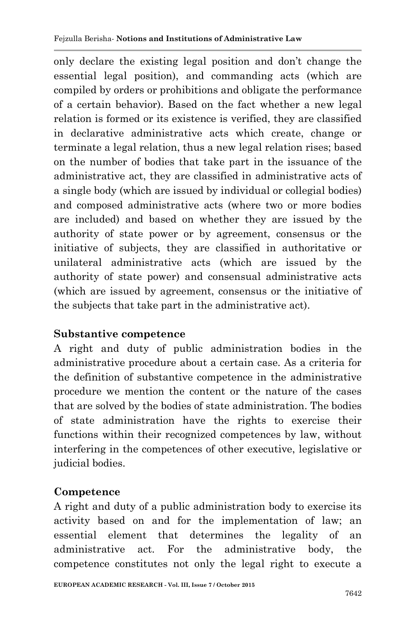only declare the existing legal position and don"t change the essential legal position), and commanding acts (which are compiled by orders or prohibitions and obligate the performance of a certain behavior). Based on the fact whether a new legal relation is formed or its existence is verified, they are classified in declarative administrative acts which create, change or terminate a legal relation, thus a new legal relation rises; based on the number of bodies that take part in the issuance of the administrative act, they are classified in administrative acts of a single body (which are issued by individual or collegial bodies) and composed administrative acts (where two or more bodies are included) and based on whether they are issued by the authority of state power or by agreement, consensus or the initiative of subjects, they are classified in authoritative or unilateral administrative acts (which are issued by the authority of state power) and consensual administrative acts (which are issued by agreement, consensus or the initiative of the subjects that take part in the administrative act).

# **Substantive competence**

A right and duty of public administration bodies in the administrative procedure about a certain case. As a criteria for the definition of substantive competence in the administrative procedure we mention the content or the nature of the cases that are solved by the bodies of state administration. The bodies of state administration have the rights to exercise their functions within their recognized competences by law, without interfering in the competences of other executive, legislative or judicial bodies.

# **Competence**

A right and duty of a public administration body to exercise its activity based on and for the implementation of law; an essential element that determines the legality of an administrative act. For the administrative body, the competence constitutes not only the legal right to execute a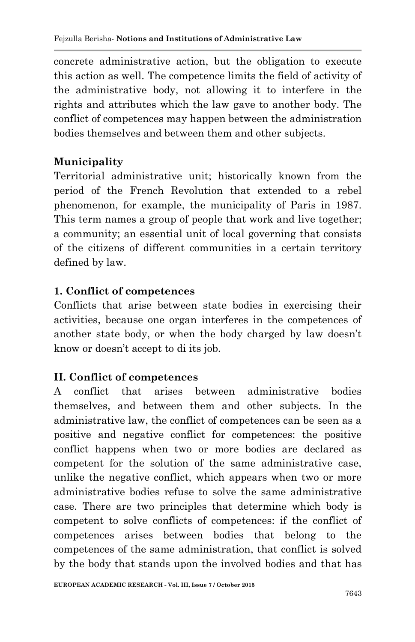concrete administrative action, but the obligation to execute this action as well. The competence limits the field of activity of the administrative body, not allowing it to interfere in the rights and attributes which the law gave to another body. The conflict of competences may happen between the administration bodies themselves and between them and other subjects.

# **Municipality**

Territorial administrative unit; historically known from the period of the French Revolution that extended to a rebel phenomenon, for example, the municipality of Paris in 1987. This term names a group of people that work and live together; a community; an essential unit of local governing that consists of the citizens of different communities in a certain territory defined by law.

# **1. Conflict of competences**

Conflicts that arise between state bodies in exercising their activities, because one organ interferes in the competences of another state body, or when the body charged by law doesn"t know or doesn"t accept to di its job.

# **II. Conflict of competences**

A conflict that arises between administrative bodies themselves, and between them and other subjects. In the administrative law, the conflict of competences can be seen as a positive and negative conflict for competences: the positive conflict happens when two or more bodies are declared as competent for the solution of the same administrative case, unlike the negative conflict, which appears when two or more administrative bodies refuse to solve the same administrative case. There are two principles that determine which body is competent to solve conflicts of competences: if the conflict of competences arises between bodies that belong to the competences of the same administration, that conflict is solved by the body that stands upon the involved bodies and that has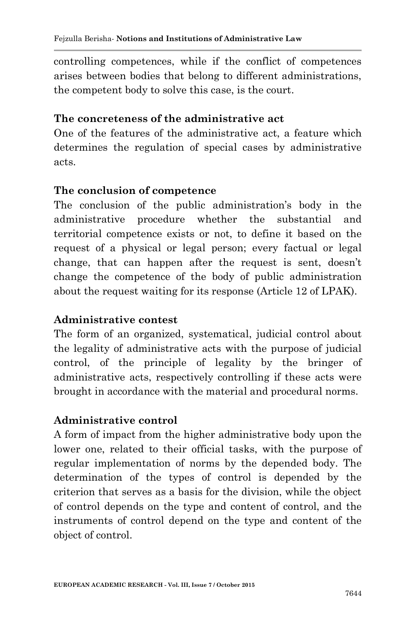controlling competences, while if the conflict of competences arises between bodies that belong to different administrations, the competent body to solve this case, is the court.

#### **The concreteness of the administrative act**

One of the features of the administrative act, a feature which determines the regulation of special cases by administrative acts.

#### **The conclusion of competence**

The conclusion of the public administration's body in the administrative procedure whether the substantial and territorial competence exists or not, to define it based on the request of a physical or legal person; every factual or legal change, that can happen after the request is sent, doesn"t change the competence of the body of public administration about the request waiting for its response (Article 12 of LPAK).

#### **Administrative contest**

The form of an organized, systematical, judicial control about the legality of administrative acts with the purpose of judicial control, of the principle of legality by the bringer of administrative acts, respectively controlling if these acts were brought in accordance with the material and procedural norms.

#### **Administrative control**

A form of impact from the higher administrative body upon the lower one, related to their official tasks, with the purpose of regular implementation of norms by the depended body. The determination of the types of control is depended by the criterion that serves as a basis for the division, while the object of control depends on the type and content of control, and the instruments of control depend on the type and content of the object of control.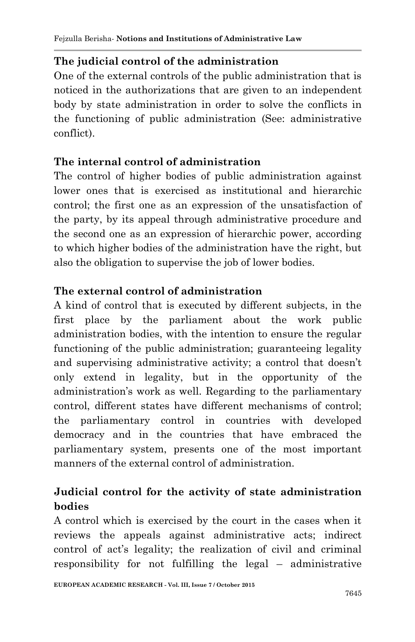# **The judicial control of the administration**

One of the external controls of the public administration that is noticed in the authorizations that are given to an independent body by state administration in order to solve the conflicts in the functioning of public administration (See: administrative conflict).

# **The internal control of administration**

The control of higher bodies of public administration against lower ones that is exercised as institutional and hierarchic control; the first one as an expression of the unsatisfaction of the party, by its appeal through administrative procedure and the second one as an expression of hierarchic power, according to which higher bodies of the administration have the right, but also the obligation to supervise the job of lower bodies.

# **The external control of administration**

A kind of control that is executed by different subjects, in the first place by the parliament about the work public administration bodies, with the intention to ensure the regular functioning of the public administration; guaranteeing legality and supervising administrative activity; a control that doesn"t only extend in legality, but in the opportunity of the administration"s work as well. Regarding to the parliamentary control, different states have different mechanisms of control; the parliamentary control in countries with developed democracy and in the countries that have embraced the parliamentary system, presents one of the most important manners of the external control of administration.

# **Judicial control for the activity of state administration bodies**

A control which is exercised by the court in the cases when it reviews the appeals against administrative acts; indirect control of act's legality; the realization of civil and criminal responsibility for not fulfilling the legal – administrative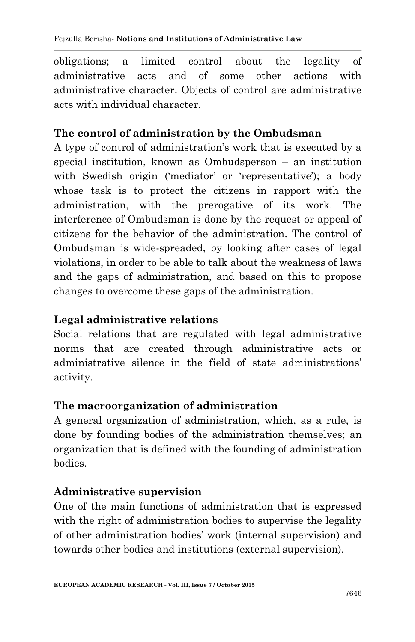obligations; a limited control about the legality of administrative acts and of some other actions with administrative character. Objects of control are administrative acts with individual character.

### **The control of administration by the Ombudsman**

A type of control of administration"s work that is executed by a special institution, known as Ombudsperson – an institution with Swedish origin ('mediator' or 'representative'); a body whose task is to protect the citizens in rapport with the administration, with the prerogative of its work. The interference of Ombudsman is done by the request or appeal of citizens for the behavior of the administration. The control of Ombudsman is wide-spreaded, by looking after cases of legal violations, in order to be able to talk about the weakness of laws and the gaps of administration, and based on this to propose changes to overcome these gaps of the administration.

### **Legal administrative relations**

Social relations that are regulated with legal administrative norms that are created through administrative acts or administrative silence in the field of state administrations' activity.

#### **The macroorganization of administration**

A general organization of administration, which, as a rule, is done by founding bodies of the administration themselves; an organization that is defined with the founding of administration bodies.

# **Administrative supervision**

One of the main functions of administration that is expressed with the right of administration bodies to supervise the legality of other administration bodies" work (internal supervision) and towards other bodies and institutions (external supervision).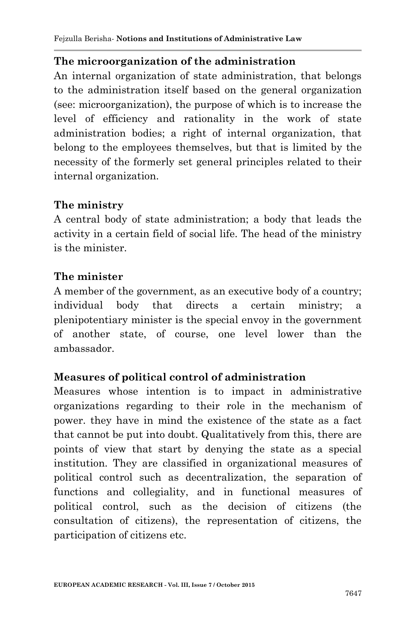#### **The microorganization of the administration**

An internal organization of state administration, that belongs to the administration itself based on the general organization (see: microorganization), the purpose of which is to increase the level of efficiency and rationality in the work of state administration bodies; a right of internal organization, that belong to the employees themselves, but that is limited by the necessity of the formerly set general principles related to their internal organization.

#### **The ministry**

A central body of state administration; a body that leads the activity in a certain field of social life. The head of the ministry is the minister.

#### **The minister**

A member of the government, as an executive body of a country; individual body that directs a certain ministry; a plenipotentiary minister is the special envoy in the government of another state, of course, one level lower than the ambassador.

#### **Measures of political control of administration**

Measures whose intention is to impact in administrative organizations regarding to their role in the mechanism of power. they have in mind the existence of the state as a fact that cannot be put into doubt. Qualitatively from this, there are points of view that start by denying the state as a special institution. They are classified in organizational measures of political control such as decentralization, the separation of functions and collegiality, and in functional measures of political control, such as the decision of citizens (the consultation of citizens), the representation of citizens, the participation of citizens etc.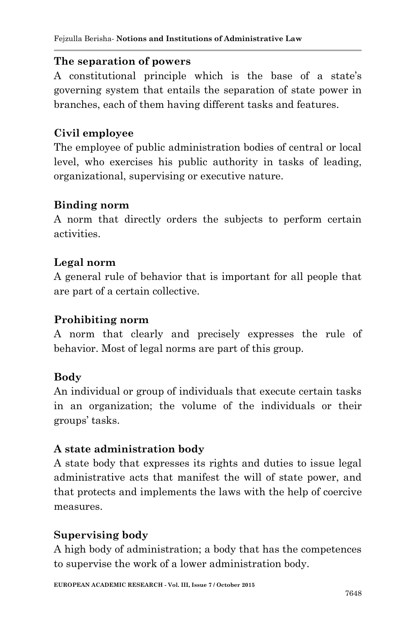#### **The separation of powers**

A constitutional principle which is the base of a state"s governing system that entails the separation of state power in branches, each of them having different tasks and features.

### **Civil employee**

The employee of public administration bodies of central or local level, who exercises his public authority in tasks of leading, organizational, supervising or executive nature.

#### **Binding norm**

A norm that directly orders the subjects to perform certain activities.

### **Legal norm**

A general rule of behavior that is important for all people that are part of a certain collective.

#### **Prohibiting norm**

A norm that clearly and precisely expresses the rule of behavior. Most of legal norms are part of this group.

#### **Body**

An individual or group of individuals that execute certain tasks in an organization; the volume of the individuals or their groups" tasks.

#### **A state administration body**

A state body that expresses its rights and duties to issue legal administrative acts that manifest the will of state power, and that protects and implements the laws with the help of coercive measures.

# **Supervising body**

A high body of administration; a body that has the competences to supervise the work of a lower administration body.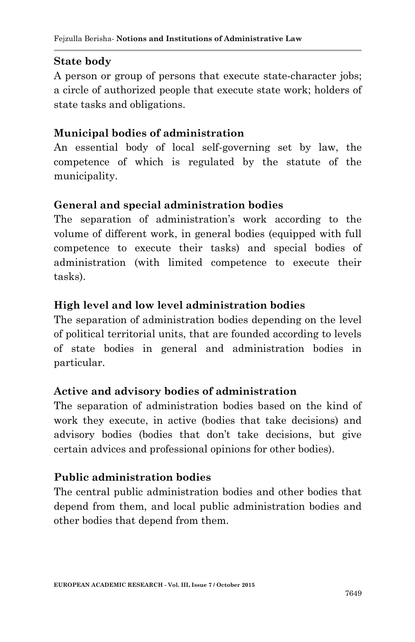#### **State body**

A person or group of persons that execute state-character jobs; a circle of authorized people that execute state work; holders of state tasks and obligations.

#### **Municipal bodies of administration**

An essential body of local self-governing set by law, the competence of which is regulated by the statute of the municipality.

#### **General and special administration bodies**

The separation of administration's work according to the volume of different work, in general bodies (equipped with full competence to execute their tasks) and special bodies of administration (with limited competence to execute their tasks).

#### **High level and low level administration bodies**

The separation of administration bodies depending on the level of political territorial units, that are founded according to levels of state bodies in general and administration bodies in particular.

#### **Active and advisory bodies of administration**

The separation of administration bodies based on the kind of work they execute, in active (bodies that take decisions) and advisory bodies (bodies that don"t take decisions, but give certain advices and professional opinions for other bodies).

#### **Public administration bodies**

The central public administration bodies and other bodies that depend from them, and local public administration bodies and other bodies that depend from them.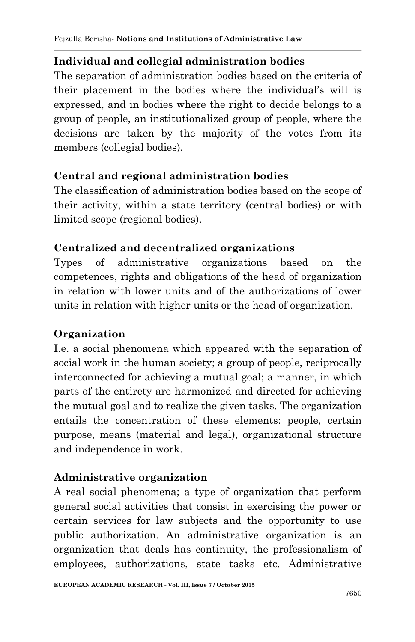# **Individual and collegial administration bodies**

The separation of administration bodies based on the criteria of their placement in the bodies where the individual's will is expressed, and in bodies where the right to decide belongs to a group of people, an institutionalized group of people, where the decisions are taken by the majority of the votes from its members (collegial bodies).

# **Central and regional administration bodies**

The classification of administration bodies based on the scope of their activity, within a state territory (central bodies) or with limited scope (regional bodies).

# **Centralized and decentralized organizations**

Types of administrative organizations based on the competences, rights and obligations of the head of organization in relation with lower units and of the authorizations of lower units in relation with higher units or the head of organization.

# **Organization**

I.e. a social phenomena which appeared with the separation of social work in the human society; a group of people, reciprocally interconnected for achieving a mutual goal; a manner, in which parts of the entirety are harmonized and directed for achieving the mutual goal and to realize the given tasks. The organization entails the concentration of these elements: people, certain purpose, means (material and legal), organizational structure and independence in work.

# **Administrative organization**

A real social phenomena; a type of organization that perform general social activities that consist in exercising the power or certain services for law subjects and the opportunity to use public authorization. An administrative organization is an organization that deals has continuity, the professionalism of employees, authorizations, state tasks etc. Administrative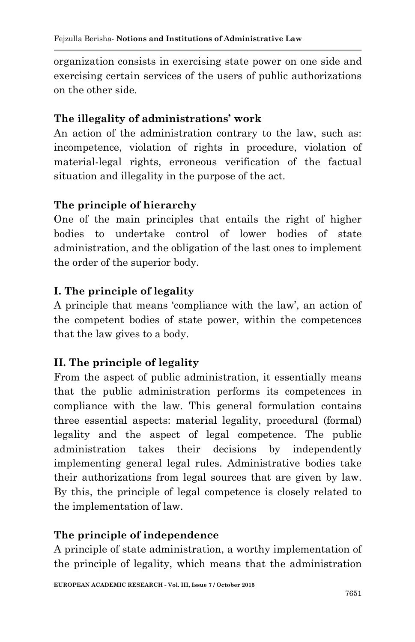organization consists in exercising state power on one side and exercising certain services of the users of public authorizations on the other side.

# **The illegality of administrations' work**

An action of the administration contrary to the law, such as: incompetence, violation of rights in procedure, violation of material-legal rights, erroneous verification of the factual situation and illegality in the purpose of the act.

### **The principle of hierarchy**

One of the main principles that entails the right of higher bodies to undertake control of lower bodies of state administration, and the obligation of the last ones to implement the order of the superior body.

# **I. The principle of legality**

A principle that means "compliance with the law", an action of the competent bodies of state power, within the competences that the law gives to a body.

# **II. The principle of legality**

From the aspect of public administration, it essentially means that the public administration performs its competences in compliance with the law. This general formulation contains three essential aspects: material legality, procedural (formal) legality and the aspect of legal competence. The public administration takes their decisions by independently implementing general legal rules. Administrative bodies take their authorizations from legal sources that are given by law. By this, the principle of legal competence is closely related to the implementation of law.

#### **The principle of independence**

A principle of state administration, a worthy implementation of the principle of legality, which means that the administration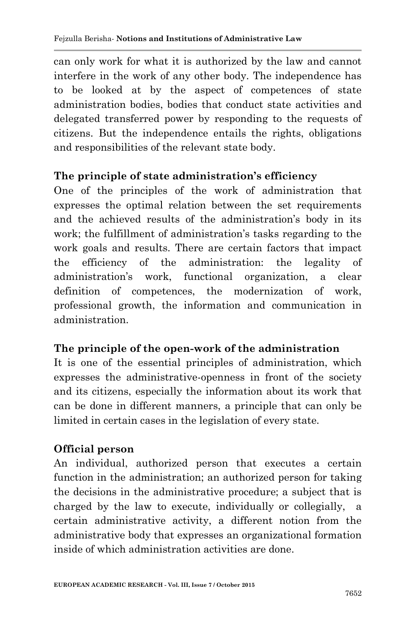can only work for what it is authorized by the law and cannot interfere in the work of any other body. The independence has to be looked at by the aspect of competences of state administration bodies, bodies that conduct state activities and delegated transferred power by responding to the requests of citizens. But the independence entails the rights, obligations and responsibilities of the relevant state body.

# **The principle of state administration's efficiency**

One of the principles of the work of administration that expresses the optimal relation between the set requirements and the achieved results of the administration's body in its work; the fulfillment of administration's tasks regarding to the work goals and results. There are certain factors that impact the efficiency of the administration: the legality of administration"s work, functional organization, a clear definition of competences, the modernization of work, professional growth, the information and communication in administration.

# **The principle of the open-work of the administration**

It is one of the essential principles of administration, which expresses the administrative-openness in front of the society and its citizens, especially the information about its work that can be done in different manners, a principle that can only be limited in certain cases in the legislation of every state.

# **Official person**

An individual, authorized person that executes a certain function in the administration; an authorized person for taking the decisions in the administrative procedure; a subject that is charged by the law to execute, individually or collegially, a certain administrative activity, a different notion from the administrative body that expresses an organizational formation inside of which administration activities are done.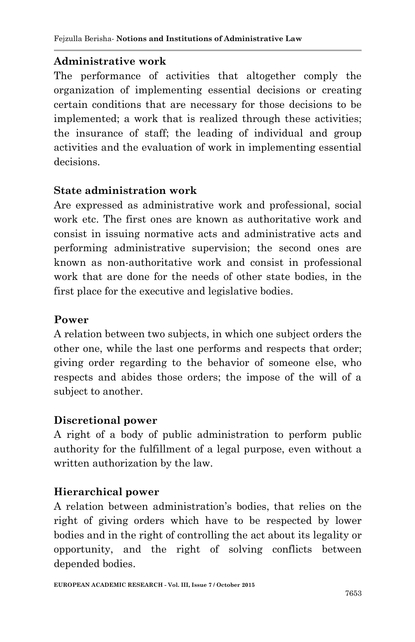### **Administrative work**

The performance of activities that altogether comply the organization of implementing essential decisions or creating certain conditions that are necessary for those decisions to be implemented; a work that is realized through these activities; the insurance of staff; the leading of individual and group activities and the evaluation of work in implementing essential decisions.

### **State administration work**

Are expressed as administrative work and professional, social work etc. The first ones are known as authoritative work and consist in issuing normative acts and administrative acts and performing administrative supervision; the second ones are known as non-authoritative work and consist in professional work that are done for the needs of other state bodies, in the first place for the executive and legislative bodies.

### **Power**

A relation between two subjects, in which one subject orders the other one, while the last one performs and respects that order; giving order regarding to the behavior of someone else, who respects and abides those orders; the impose of the will of a subject to another.

# **Discretional power**

A right of a body of public administration to perform public authority for the fulfillment of a legal purpose, even without a written authorization by the law.

# **Hierarchical power**

A relation between administration"s bodies, that relies on the right of giving orders which have to be respected by lower bodies and in the right of controlling the act about its legality or opportunity, and the right of solving conflicts between depended bodies.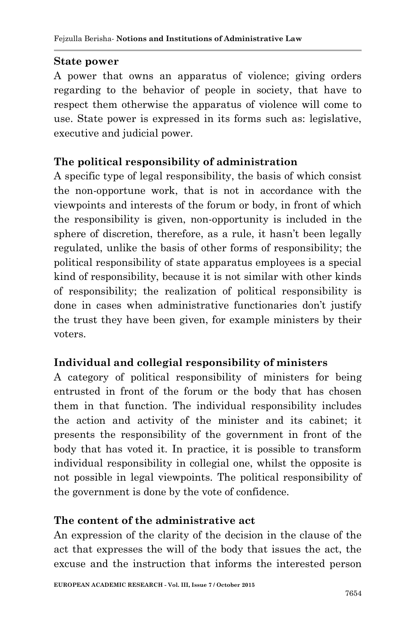### **State power**

A power that owns an apparatus of violence; giving orders regarding to the behavior of people in society, that have to respect them otherwise the apparatus of violence will come to use. State power is expressed in its forms such as: legislative, executive and judicial power.

### **The political responsibility of administration**

A specific type of legal responsibility, the basis of which consist the non-opportune work, that is not in accordance with the viewpoints and interests of the forum or body, in front of which the responsibility is given, non-opportunity is included in the sphere of discretion, therefore, as a rule, it hasn"t been legally regulated, unlike the basis of other forms of responsibility; the political responsibility of state apparatus employees is a special kind of responsibility, because it is not similar with other kinds of responsibility; the realization of political responsibility is done in cases when administrative functionaries don"t justify the trust they have been given, for example ministers by their voters.

# **Individual and collegial responsibility of ministers**

A category of political responsibility of ministers for being entrusted in front of the forum or the body that has chosen them in that function. The individual responsibility includes the action and activity of the minister and its cabinet; it presents the responsibility of the government in front of the body that has voted it. In practice, it is possible to transform individual responsibility in collegial one, whilst the opposite is not possible in legal viewpoints. The political responsibility of the government is done by the vote of confidence.

# **The content of the administrative act**

An expression of the clarity of the decision in the clause of the act that expresses the will of the body that issues the act, the excuse and the instruction that informs the interested person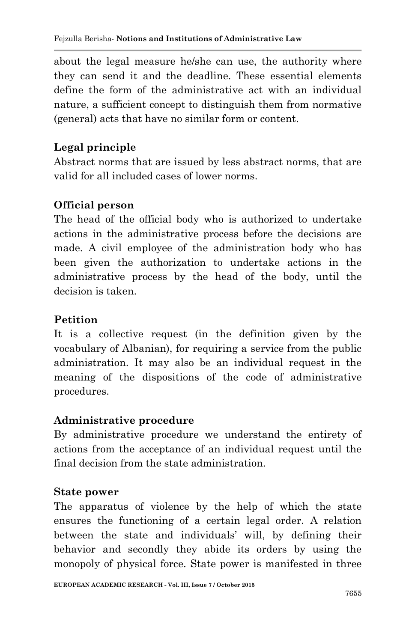about the legal measure he/she can use, the authority where they can send it and the deadline. These essential elements define the form of the administrative act with an individual nature, a sufficient concept to distinguish them from normative (general) acts that have no similar form or content.

# **Legal principle**

Abstract norms that are issued by less abstract norms, that are valid for all included cases of lower norms.

# **Official person**

The head of the official body who is authorized to undertake actions in the administrative process before the decisions are made. A civil employee of the administration body who has been given the authorization to undertake actions in the administrative process by the head of the body, until the decision is taken.

### **Petition**

It is a collective request (in the definition given by the vocabulary of Albanian), for requiring a service from the public administration. It may also be an individual request in the meaning of the dispositions of the code of administrative procedures.

# **Administrative procedure**

By administrative procedure we understand the entirety of actions from the acceptance of an individual request until the final decision from the state administration.

#### **State power**

The apparatus of violence by the help of which the state ensures the functioning of a certain legal order. A relation between the state and individuals" will, by defining their behavior and secondly they abide its orders by using the monopoly of physical force. State power is manifested in three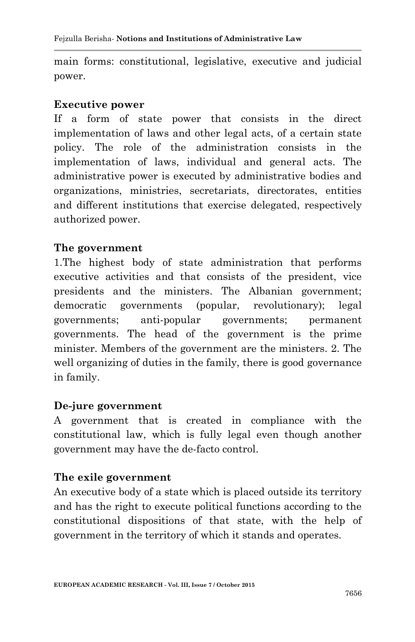main forms: constitutional, legislative, executive and judicial power.

#### **Executive power**

If a form of state power that consists in the direct implementation of laws and other legal acts, of a certain state policy. The role of the administration consists in the implementation of laws, individual and general acts. The administrative power is executed by administrative bodies and organizations, ministries, secretariats, directorates, entities and different institutions that exercise delegated, respectively authorized power.

#### **The government**

1.The highest body of state administration that performs executive activities and that consists of the president, vice presidents and the ministers. The Albanian government; democratic governments (popular, revolutionary); legal governments; anti-popular governments; permanent governments. The head of the government is the prime minister. Members of the government are the ministers. 2. The well organizing of duties in the family, there is good governance in family.

#### **De-jure government**

A government that is created in compliance with the constitutional law, which is fully legal even though another government may have the de-facto control.

#### **The exile government**

An executive body of a state which is placed outside its territory and has the right to execute political functions according to the constitutional dispositions of that state, with the help of government in the territory of which it stands and operates.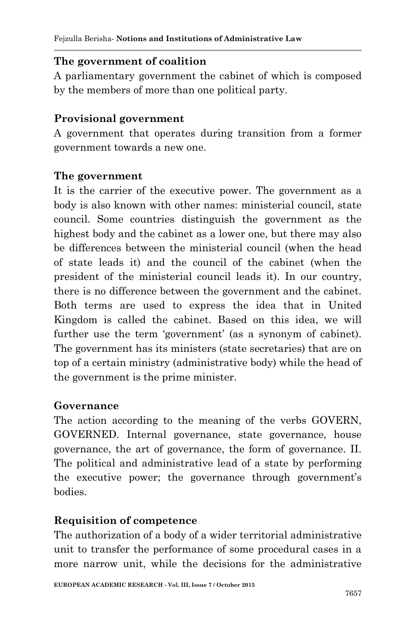### **The government of coalition**

A parliamentary government the cabinet of which is composed by the members of more than one political party.

# **Provisional government**

A government that operates during transition from a former government towards a new one.

#### **The government**

It is the carrier of the executive power. The government as a body is also known with other names: ministerial council, state council. Some countries distinguish the government as the highest body and the cabinet as a lower one, but there may also be differences between the ministerial council (when the head of state leads it) and the council of the cabinet (when the president of the ministerial council leads it). In our country, there is no difference between the government and the cabinet. Both terms are used to express the idea that in United Kingdom is called the cabinet. Based on this idea, we will further use the term 'government' (as a synonym of cabinet). The government has its ministers (state secretaries) that are on top of a certain ministry (administrative body) while the head of the government is the prime minister.

#### **Governance**

The action according to the meaning of the verbs GOVERN, GOVERNED. Internal governance, state governance, house governance, the art of governance, the form of governance. II. The political and administrative lead of a state by performing the executive power; the governance through government's bodies.

#### **Requisition of competence**

The authorization of a body of a wider territorial administrative unit to transfer the performance of some procedural cases in a more narrow unit, while the decisions for the administrative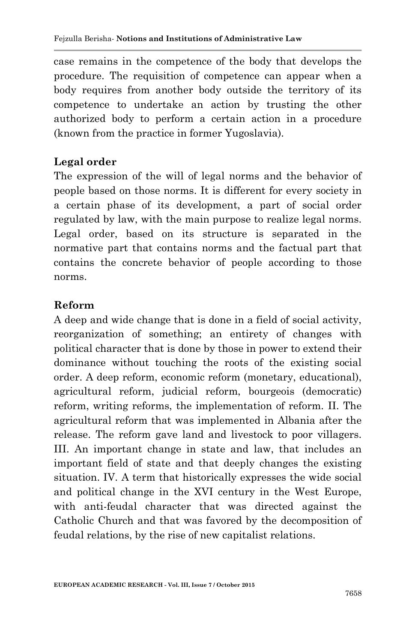case remains in the competence of the body that develops the procedure. The requisition of competence can appear when a body requires from another body outside the territory of its competence to undertake an action by trusting the other authorized body to perform a certain action in a procedure (known from the practice in former Yugoslavia).

### **Legal order**

The expression of the will of legal norms and the behavior of people based on those norms. It is different for every society in a certain phase of its development, a part of social order regulated by law, with the main purpose to realize legal norms. Legal order, based on its structure is separated in the normative part that contains norms and the factual part that contains the concrete behavior of people according to those norms.

#### **Reform**

A deep and wide change that is done in a field of social activity, reorganization of something; an entirety of changes with political character that is done by those in power to extend their dominance without touching the roots of the existing social order. A deep reform, economic reform (monetary, educational), agricultural reform, judicial reform, bourgeois (democratic) reform, writing reforms, the implementation of reform. II. The agricultural reform that was implemented in Albania after the release. The reform gave land and livestock to poor villagers. III. An important change in state and law, that includes an important field of state and that deeply changes the existing situation. IV. A term that historically expresses the wide social and political change in the XVI century in the West Europe, with anti-feudal character that was directed against the Catholic Church and that was favored by the decomposition of feudal relations, by the rise of new capitalist relations.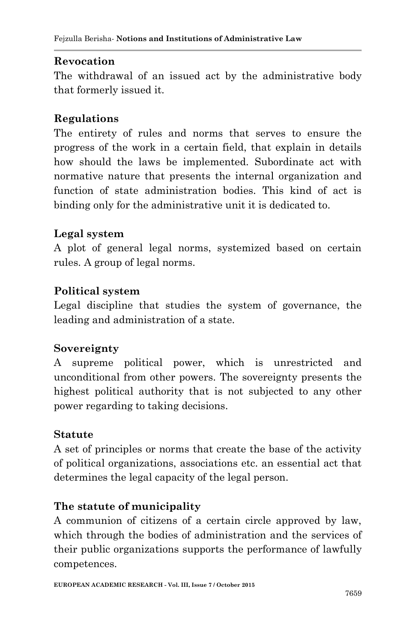### **Revocation**

The withdrawal of an issued act by the administrative body that formerly issued it.

### **Regulations**

The entirety of rules and norms that serves to ensure the progress of the work in a certain field, that explain in details how should the laws be implemented. Subordinate act with normative nature that presents the internal organization and function of state administration bodies. This kind of act is binding only for the administrative unit it is dedicated to.

#### **Legal system**

A plot of general legal norms, systemized based on certain rules. A group of legal norms.

#### **Political system**

Legal discipline that studies the system of governance, the leading and administration of a state.

#### **Sovereignty**

A supreme political power, which is unrestricted and unconditional from other powers. The sovereignty presents the highest political authority that is not subjected to any other power regarding to taking decisions.

#### **Statute**

A set of principles or norms that create the base of the activity of political organizations, associations etc. an essential act that determines the legal capacity of the legal person.

#### **The statute of municipality**

A communion of citizens of a certain circle approved by law, which through the bodies of administration and the services of their public organizations supports the performance of lawfully competences.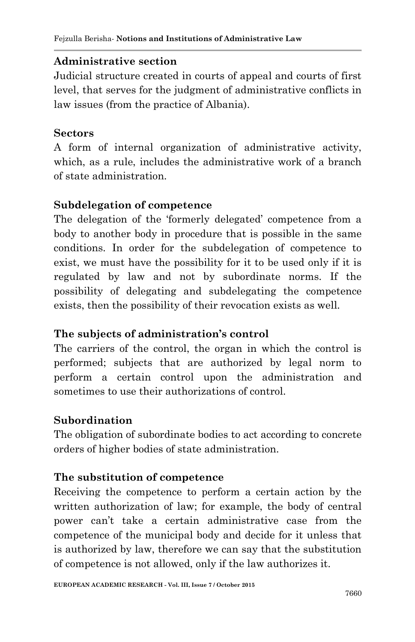### **Administrative section**

Judicial structure created in courts of appeal and courts of first level, that serves for the judgment of administrative conflicts in law issues (from the practice of Albania).

### **Sectors**

A form of internal organization of administrative activity, which, as a rule, includes the administrative work of a branch of state administration.

### **Subdelegation of competence**

The delegation of the 'formerly delegated' competence from a body to another body in procedure that is possible in the same conditions. In order for the subdelegation of competence to exist, we must have the possibility for it to be used only if it is regulated by law and not by subordinate norms. If the possibility of delegating and subdelegating the competence exists, then the possibility of their revocation exists as well.

# **The subjects of administration's control**

The carriers of the control, the organ in which the control is performed; subjects that are authorized by legal norm to perform a certain control upon the administration and sometimes to use their authorizations of control.

# **Subordination**

The obligation of subordinate bodies to act according to concrete orders of higher bodies of state administration.

# **The substitution of competence**

Receiving the competence to perform a certain action by the written authorization of law; for example, the body of central power can"t take a certain administrative case from the competence of the municipal body and decide for it unless that is authorized by law, therefore we can say that the substitution of competence is not allowed, only if the law authorizes it.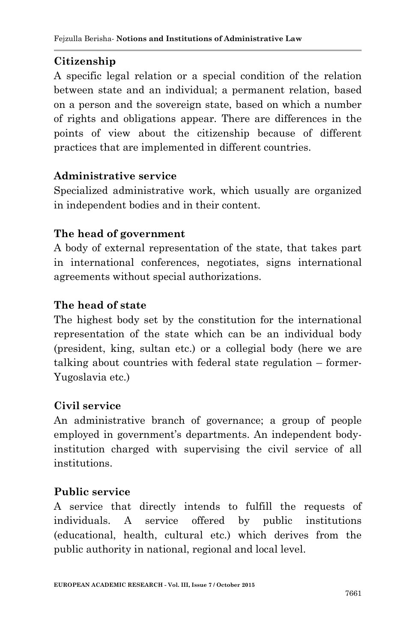# **Citizenship**

A specific legal relation or a special condition of the relation between state and an individual; a permanent relation, based on a person and the sovereign state, based on which a number of rights and obligations appear. There are differences in the points of view about the citizenship because of different practices that are implemented in different countries.

# **Administrative service**

Specialized administrative work, which usually are organized in independent bodies and in their content.

### **The head of government**

A body of external representation of the state, that takes part in international conferences, negotiates, signs international agreements without special authorizations.

### **The head of state**

The highest body set by the constitution for the international representation of the state which can be an individual body (president, king, sultan etc.) or a collegial body (here we are talking about countries with federal state regulation – former-Yugoslavia etc.)

#### **Civil service**

An administrative branch of governance; a group of people employed in government's departments. An independent bodyinstitution charged with supervising the civil service of all institutions.

# **Public service**

A service that directly intends to fulfill the requests of individuals. A service offered by public institutions (educational, health, cultural etc.) which derives from the public authority in national, regional and local level.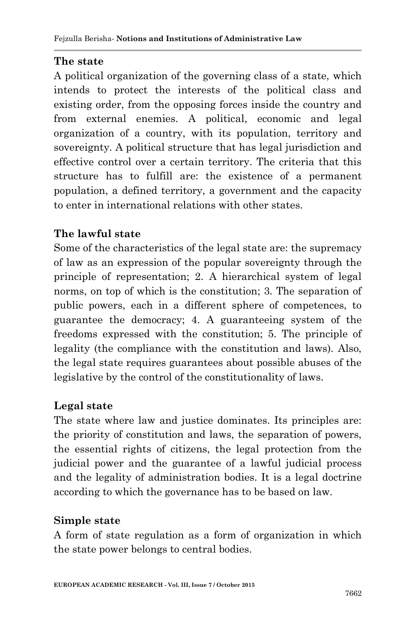# **The state**

A political organization of the governing class of a state, which intends to protect the interests of the political class and existing order, from the opposing forces inside the country and from external enemies. A political, economic and legal organization of a country, with its population, territory and sovereignty. A political structure that has legal jurisdiction and effective control over a certain territory. The criteria that this structure has to fulfill are: the existence of a permanent population, a defined territory, a government and the capacity to enter in international relations with other states.

# **The lawful state**

Some of the characteristics of the legal state are: the supremacy of law as an expression of the popular sovereignty through the principle of representation; 2. A hierarchical system of legal norms, on top of which is the constitution; 3. The separation of public powers, each in a different sphere of competences, to guarantee the democracy; 4. A guaranteeing system of the freedoms expressed with the constitution; 5. The principle of legality (the compliance with the constitution and laws). Also, the legal state requires guarantees about possible abuses of the legislative by the control of the constitutionality of laws.

# **Legal state**

The state where law and justice dominates. Its principles are: the priority of constitution and laws, the separation of powers, the essential rights of citizens, the legal protection from the judicial power and the guarantee of a lawful judicial process and the legality of administration bodies. It is a legal doctrine according to which the governance has to be based on law.

# **Simple state**

A form of state regulation as a form of organization in which the state power belongs to central bodies.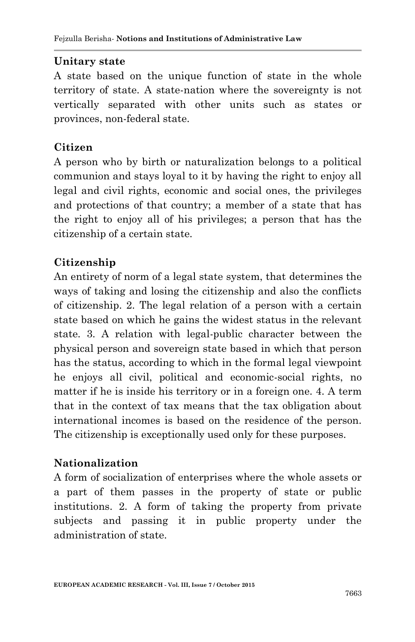#### **Unitary state**

A state based on the unique function of state in the whole territory of state. A state-nation where the sovereignty is not vertically separated with other units such as states or provinces, non-federal state.

#### **Citizen**

A person who by birth or naturalization belongs to a political communion and stays loyal to it by having the right to enjoy all legal and civil rights, economic and social ones, the privileges and protections of that country; a member of a state that has the right to enjoy all of his privileges; a person that has the citizenship of a certain state.

### **Citizenship**

An entirety of norm of a legal state system, that determines the ways of taking and losing the citizenship and also the conflicts of citizenship. 2. The legal relation of a person with a certain state based on which he gains the widest status in the relevant state. 3. A relation with legal-public character between the physical person and sovereign state based in which that person has the status, according to which in the formal legal viewpoint he enjoys all civil, political and economic-social rights, no matter if he is inside his territory or in a foreign one. 4. A term that in the context of tax means that the tax obligation about international incomes is based on the residence of the person. The citizenship is exceptionally used only for these purposes.

#### **Nationalization**

A form of socialization of enterprises where the whole assets or a part of them passes in the property of state or public institutions. 2. A form of taking the property from private subjects and passing it in public property under the administration of state.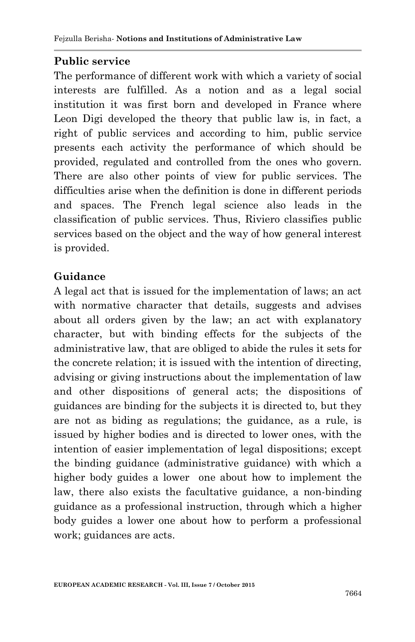### **Public service**

The performance of different work with which a variety of social interests are fulfilled. As a notion and as a legal social institution it was first born and developed in France where Leon Digi developed the theory that public law is, in fact, a right of public services and according to him, public service presents each activity the performance of which should be provided, regulated and controlled from the ones who govern. There are also other points of view for public services. The difficulties arise when the definition is done in different periods and spaces. The French legal science also leads in the classification of public services. Thus, Riviero classifies public services based on the object and the way of how general interest is provided.

#### **Guidance**

A legal act that is issued for the implementation of laws; an act with normative character that details, suggests and advises about all orders given by the law; an act with explanatory character, but with binding effects for the subjects of the administrative law, that are obliged to abide the rules it sets for the concrete relation; it is issued with the intention of directing, advising or giving instructions about the implementation of law and other dispositions of general acts; the dispositions of guidances are binding for the subjects it is directed to, but they are not as biding as regulations; the guidance, as a rule, is issued by higher bodies and is directed to lower ones, with the intention of easier implementation of legal dispositions; except the binding guidance (administrative guidance) with which a higher body guides a lower one about how to implement the law, there also exists the facultative guidance, a non-binding guidance as a professional instruction, through which a higher body guides a lower one about how to perform a professional work; guidances are acts.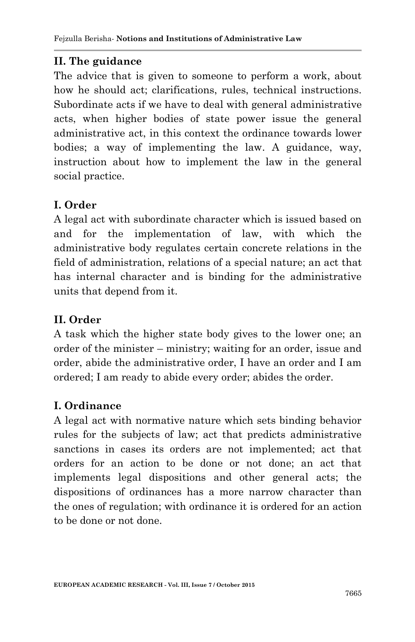#### **II. The guidance**

The advice that is given to someone to perform a work, about how he should act; clarifications, rules, technical instructions. Subordinate acts if we have to deal with general administrative acts, when higher bodies of state power issue the general administrative act, in this context the ordinance towards lower bodies; a way of implementing the law. A guidance, way, instruction about how to implement the law in the general social practice.

# **I. Order**

A legal act with subordinate character which is issued based on and for the implementation of law, with which the administrative body regulates certain concrete relations in the field of administration, relations of a special nature; an act that has internal character and is binding for the administrative units that depend from it.

### **II. Order**

A task which the higher state body gives to the lower one; an order of the minister – ministry; waiting for an order, issue and order, abide the administrative order, I have an order and I am ordered; I am ready to abide every order; abides the order.

# **I. Ordinance**

A legal act with normative nature which sets binding behavior rules for the subjects of law; act that predicts administrative sanctions in cases its orders are not implemented; act that orders for an action to be done or not done; an act that implements legal dispositions and other general acts; the dispositions of ordinances has a more narrow character than the ones of regulation; with ordinance it is ordered for an action to be done or not done.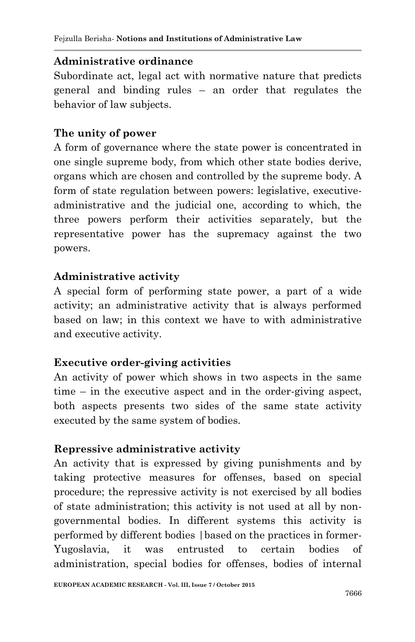### **Administrative ordinance**

Subordinate act, legal act with normative nature that predicts general and binding rules – an order that regulates the behavior of law subjects.

### **The unity of power**

A form of governance where the state power is concentrated in one single supreme body, from which other state bodies derive, organs which are chosen and controlled by the supreme body. A form of state regulation between powers: legislative, executiveadministrative and the judicial one, according to which, the three powers perform their activities separately, but the representative power has the supremacy against the two powers.

### **Administrative activity**

A special form of performing state power, a part of a wide activity; an administrative activity that is always performed based on law; in this context we have to with administrative and executive activity.

# **Executive order-giving activities**

An activity of power which shows in two aspects in the same time – in the executive aspect and in the order-giving aspect, both aspects presents two sides of the same state activity executed by the same system of bodies.

#### **Repressive administrative activity**

An activity that is expressed by giving punishments and by taking protective measures for offenses, based on special procedure; the repressive activity is not exercised by all bodies of state administration; this activity is not used at all by nongovernmental bodies. In different systems this activity is performed by different bodies |based on the practices in former-Yugoslavia, it was entrusted to certain bodies of administration, special bodies for offenses, bodies of internal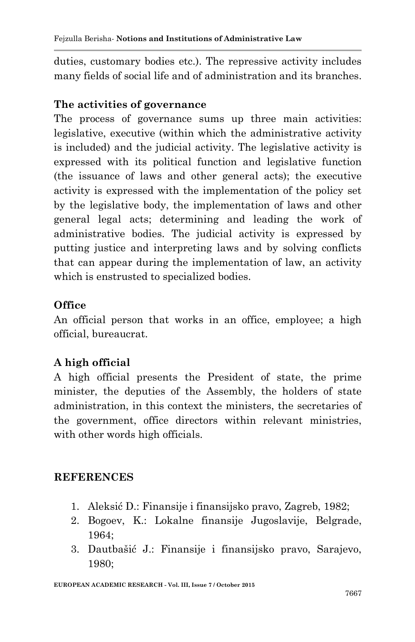duties, customary bodies etc.). The repressive activity includes many fields of social life and of administration and its branches.

#### **The activities of governance**

The process of governance sums up three main activities: legislative, executive (within which the administrative activity is included) and the judicial activity. The legislative activity is expressed with its political function and legislative function (the issuance of laws and other general acts); the executive activity is expressed with the implementation of the policy set by the legislative body, the implementation of laws and other general legal acts; determining and leading the work of administrative bodies. The judicial activity is expressed by putting justice and interpreting laws and by solving conflicts that can appear during the implementation of law, an activity which is enstrusted to specialized bodies.

#### **Office**

An official person that works in an office, employee; a high official, bureaucrat.

# **A high official**

A high official presents the President of state, the prime minister, the deputies of the Assembly, the holders of state administration, in this context the ministers, the secretaries of the government, office directors within relevant ministries, with other words high officials.

#### **REFERENCES**

- 1. Aleksić D.: Finansije i finansijsko pravo, Zagreb, 1982;
- 2. Bogoev, K.: Lokalne finansije Jugoslavije, Belgrade, 1964;
- 3. Dautbašić J.: Finansije i finansijsko pravo, Sarajevo, 1980;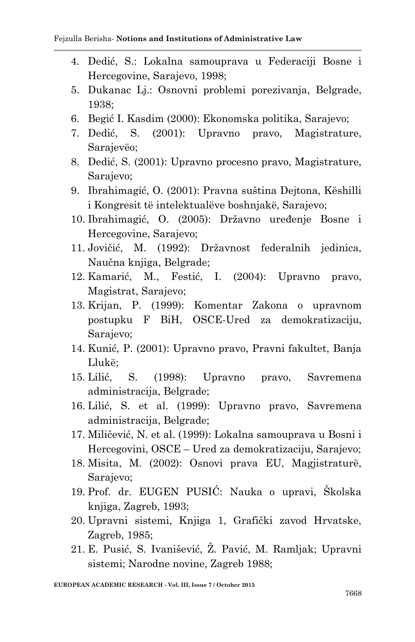- 4. Dedić, S.: Lokalna samouprava u Federaciji Bosne i Hercegovine, Sarajevo, 1998;
- 5. Dukanac Lj.: Osnovni problemi porezivanja, Belgrade, 1938;
- 6. Begić I. Kasdim (2000): Ekonomska politika, Sarajevo;
- 7. Dedić, S. (2001): Upravno pravo, Magistrature, Sarajevëo;
- 8. Dedić, S. (2001): Upravno procesno pravo, Magistrature, Sarajevo;
- 9. Ibrahimagić, O. (2001): Pravna suština Dejtona, Këshilli i Kongresit të intelektualëve boshnjakë, Sarajevo;
- 10. Ibrahimagić, O. (2005): Državno uređenje Bosne i Hercegovine, Sarajevo;
- 11. Jovičić, M. (1992): Državnost federalnih jedinica, Naučna knjiga, Belgrade;
- 12. Kamarić, M., Festić, I. (2004): Upravno pravo, Magistrat, Sarajevo;
- 13. Krijan, P. (1999): Komentar Zakona o upravnom postupku F BiH, OSCE-Ured za demokratizaciju, Sarajevo;
- 14. Kunić, P. (2001): Upravno pravo, Pravni fakultet, Banja Llukë;
- 15. Lilić, S. (1998): Upravno pravo, Savremena administracija, Belgrade;
- 16. Lilić, S. et al. (1999): Upravno pravo, Savremena administracija, Belgrade;
- 17. Miličević, N. et al. (1999): Lokalna samouprava u Bosni i Hercegovini, OSCE – Ured za demokratizaciju, Sarajevo;
- 18. Misita, M. (2002): Osnovi prava EU, Magjistraturë, Sarajevo;
- 19. Prof. dr. EUGEN PUSIĆ: Nauka o upravi, Školska knjiga, Zagreb, 1993;
- 20. Upravni sistemi, Knjiga 1, Grafički zavod Hrvatske, Zagreb, 1985;
- 21. E. Pusić, S. Ivanišević, Z. Pavić, M. Ramljak; Upravni sistemi; Narodne novine, Zagreb 1988;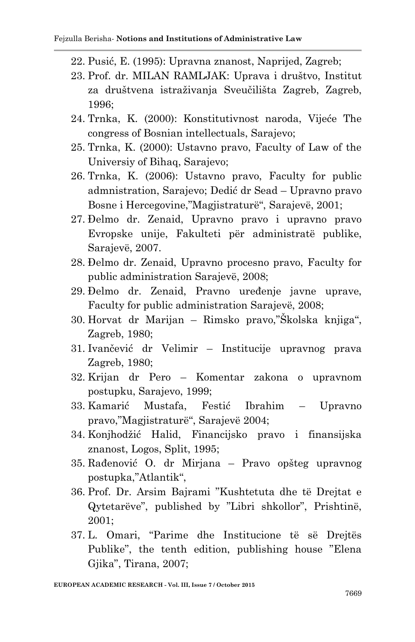- 22. Pusić, E. (1995): Upravna znanost, Naprijed, Zagreb;
- 23. Prof. dr. MILAN RAMLJAK: Uprava i društvo, Institut za društvena istraživanja Sveučilišta Zagreb, Zagreb, 1996;
- 24. Trnka, K. (2000): Konstitutivnost naroda, Vijeće The congress of Bosnian intellectuals, Sarajevo;
- 25. Trnka, K. (2000): Ustavno pravo, Faculty of Law of the Universiy of Bihaq, Sarajevo;
- 26. Trnka, K. (2006): Ustavno pravo, Faculty for public admnistration, Sarajevo; Dedić dr Sead – Upravno pravo Bosne i Hercegovine,"Magjistraturë", Sarajevë, 2001;
- 27. Đelmo dr. Zenaid, Upravno pravo i upravno pravo Evropske unije, Fakulteti për administratë publike, Sarajevë, 2007.
- 28. Đelmo dr. Zenaid, Upravno procesno pravo, Faculty for public administration Sarajevë, 2008;
- 29. Đelmo dr. Zenaid, Pravno uređenje javne uprave, Faculty for public administration Sarajevë, 2008;
- 30. Horvat dr Marijan Rimsko pravo,"Školska knjiga", Zagreb, 1980;
- 31. Ivančević dr Velimir Institucije upravnog prava Zagreb, 1980;
- 32. Krijan dr Pero Komentar zakona o upravnom postupku, Sarajevo, 1999;
- 33. Kamarić Mustafa, Festić Ibrahim Upravno pravo,"Magjistraturë", Sarajevë 2004;
- 34. Konjhodžić Halid, Financijsko pravo i finansijska znanost, Logos, Split, 1995;
- 35. Rađenović O. dr Mirjana Pravo opšteg upravnog postupka,"Atlantik",
- 36. Prof. Dr. Arsim Bajrami "Kushtetuta dhe të Drejtat e Qytetarëve", published by "Libri shkollor", Prishtinë, 2001;
- 37. L. Omari, "Parime dhe Institucione të së Drejtës Publike", the tenth edition, publishing house "Elena Gjika", Tirana, 2007;